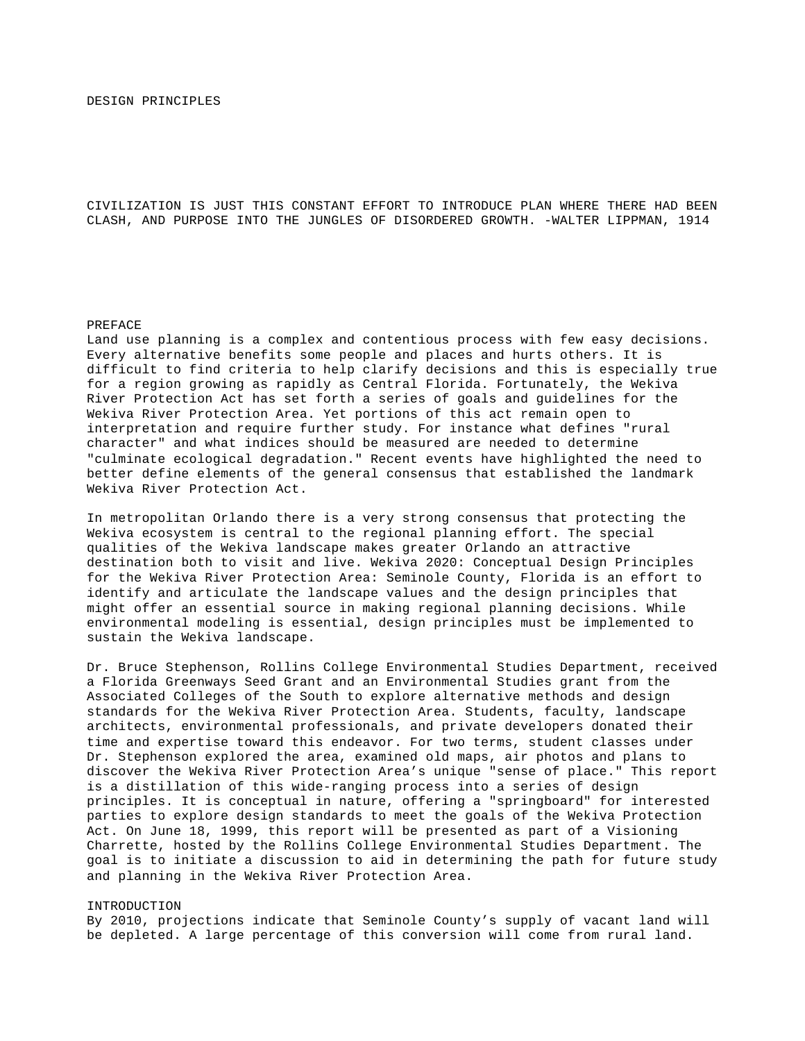CIVILIZATION IS JUST THIS CONSTANT EFFORT TO INTRODUCE PLAN WHERE THERE HAD BEEN CLASH, AND PURPOSE INTO THE JUNGLES OF DISORDERED GROWTH. -WALTER LIPPMAN, 1914

### PREFACE

Land use planning is a complex and contentious process with few easy decisions. Every alternative benefits some people and places and hurts others. It is difficult to find criteria to help clarify decisions and this is especially true for a region growing as rapidly as Central Florida. Fortunately, the Wekiva River Protection Act has set forth a series of goals and guidelines for the Wekiva River Protection Area. Yet portions of this act remain open to interpretation and require further study. For instance what defines "rural character" and what indices should be measured are needed to determine "culminate ecological degradation." Recent events have highlighted the need to better define elements of the general consensus that established the landmark Wekiva River Protection Act.

In metropolitan Orlando there is a very strong consensus that protecting the Wekiva ecosystem is central to the regional planning effort. The special qualities of the Wekiva landscape makes greater Orlando an attractive destination both to visit and live. Wekiva 2020: Conceptual Design Principles for the Wekiva River Protection Area: Seminole County, Florida is an effort to identify and articulate the landscape values and the design principles that might offer an essential source in making regional planning decisions. While environmental modeling is essential, design principles must be implemented to sustain the Wekiva landscape.

Dr. Bruce Stephenson, Rollins College Environmental Studies Department, received a Florida Greenways Seed Grant and an Environmental Studies grant from the Associated Colleges of the South to explore alternative methods and design standards for the Wekiva River Protection Area. Students, faculty, landscape architects, environmental professionals, and private developers donated their time and expertise toward this endeavor. For two terms, student classes under Dr. Stephenson explored the area, examined old maps, air photos and plans to discover the Wekiva River Protection Area's unique "sense of place." This report is a distillation of this wide-ranging process into a series of design principles. It is conceptual in nature, offering a "springboard" for interested parties to explore design standards to meet the goals of the Wekiva Protection Act. On June 18, 1999, this report will be presented as part of a Visioning Charrette, hosted by the Rollins College Environmental Studies Department. The goal is to initiate a discussion to aid in determining the path for future study and planning in the Wekiva River Protection Area.

#### INTRODUCTION

By 2010, projections indicate that Seminole County's supply of vacant land will be depleted. A large percentage of this conversion will come from rural land.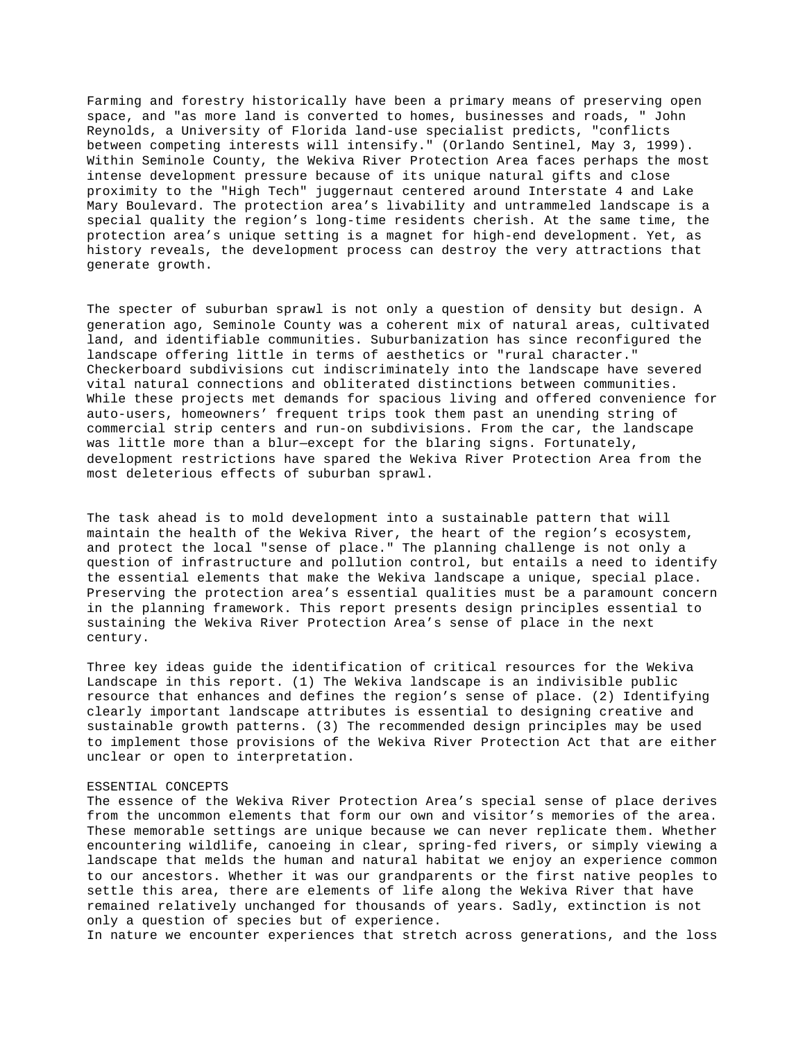Farming and forestry historically have been a primary means of preserving open space, and "as more land is converted to homes, businesses and roads, " John Reynolds, a University of Florida land-use specialist predicts, "conflicts between competing interests will intensify." (Orlando Sentinel, May 3, 1999). Within Seminole County, the Wekiva River Protection Area faces perhaps the most intense development pressure because of its unique natural gifts and close proximity to the "High Tech" juggernaut centered around Interstate 4 and Lake Mary Boulevard. The protection area's livability and untrammeled landscape is a special quality the region's long-time residents cherish. At the same time, the protection area's unique setting is a magnet for high-end development. Yet, as history reveals, the development process can destroy the very attractions that generate growth.

The specter of suburban sprawl is not only a question of density but design. A generation ago, Seminole County was a coherent mix of natural areas, cultivated land, and identifiable communities. Suburbanization has since reconfigured the landscape offering little in terms of aesthetics or "rural character." Checkerboard subdivisions cut indiscriminately into the landscape have severed vital natural connections and obliterated distinctions between communities. While these projects met demands for spacious living and offered convenience for auto-users, homeowners' frequent trips took them past an unending string of commercial strip centers and run-on subdivisions. From the car, the landscape was little more than a blur—except for the blaring signs. Fortunately, development restrictions have spared the Wekiva River Protection Area from the most deleterious effects of suburban sprawl.

The task ahead is to mold development into a sustainable pattern that will maintain the health of the Wekiva River, the heart of the region's ecosystem, and protect the local "sense of place." The planning challenge is not only a question of infrastructure and pollution control, but entails a need to identify the essential elements that make the Wekiva landscape a unique, special place. Preserving the protection area's essential qualities must be a paramount concern in the planning framework. This report presents design principles essential to sustaining the Wekiva River Protection Area's sense of place in the next century.

Three key ideas guide the identification of critical resources for the Wekiva Landscape in this report. (1) The Wekiva landscape is an indivisible public resource that enhances and defines the region's sense of place. (2) Identifying clearly important landscape attributes is essential to designing creative and sustainable growth patterns. (3) The recommended design principles may be used to implement those provisions of the Wekiva River Protection Act that are either unclear or open to interpretation.

### ESSENTIAL CONCEPTS

The essence of the Wekiva River Protection Area's special sense of place derives from the uncommon elements that form our own and visitor's memories of the area. These memorable settings are unique because we can never replicate them. Whether encountering wildlife, canoeing in clear, spring-fed rivers, or simply viewing a landscape that melds the human and natural habitat we enjoy an experience common to our ancestors. Whether it was our grandparents or the first native peoples to settle this area, there are elements of life along the Wekiva River that have remained relatively unchanged for thousands of years. Sadly, extinction is not only a question of species but of experience.

In nature we encounter experiences that stretch across generations, and the loss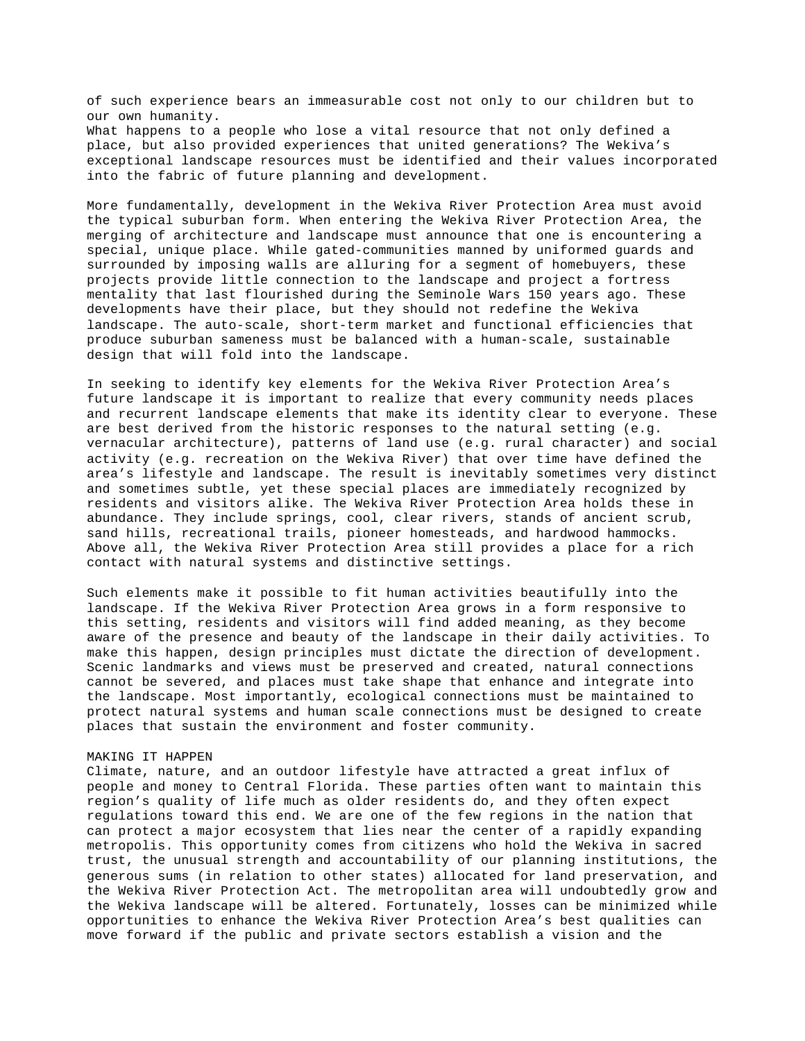of such experience bears an immeasurable cost not only to our children but to our own humanity. What happens to a people who lose a vital resource that not only defined a place, but also provided experiences that united generations? The Wekiva's exceptional landscape resources must be identified and their values incorporated into the fabric of future planning and development.

More fundamentally, development in the Wekiva River Protection Area must avoid the typical suburban form. When entering the Wekiva River Protection Area, the merging of architecture and landscape must announce that one is encountering a special, unique place. While gated-communities manned by uniformed guards and surrounded by imposing walls are alluring for a segment of homebuyers, these projects provide little connection to the landscape and project a fortress mentality that last flourished during the Seminole Wars 150 years ago. These developments have their place, but they should not redefine the Wekiva landscape. The auto-scale, short-term market and functional efficiencies that produce suburban sameness must be balanced with a human-scale, sustainable design that will fold into the landscape.

In seeking to identify key elements for the Wekiva River Protection Area's future landscape it is important to realize that every community needs places and recurrent landscape elements that make its identity clear to everyone. These are best derived from the historic responses to the natural setting (e.g. vernacular architecture), patterns of land use (e.g. rural character) and social activity (e.g. recreation on the Wekiva River) that over time have defined the area's lifestyle and landscape. The result is inevitably sometimes very distinct and sometimes subtle, yet these special places are immediately recognized by residents and visitors alike. The Wekiva River Protection Area holds these in abundance. They include springs, cool, clear rivers, stands of ancient scrub, sand hills, recreational trails, pioneer homesteads, and hardwood hammocks. Above all, the Wekiva River Protection Area still provides a place for a rich contact with natural systems and distinctive settings.

Such elements make it possible to fit human activities beautifully into the landscape. If the Wekiva River Protection Area grows in a form responsive to this setting, residents and visitors will find added meaning, as they become aware of the presence and beauty of the landscape in their daily activities. To make this happen, design principles must dictate the direction of development. Scenic landmarks and views must be preserved and created, natural connections cannot be severed, and places must take shape that enhance and integrate into the landscape. Most importantly, ecological connections must be maintained to protect natural systems and human scale connections must be designed to create places that sustain the environment and foster community.

### MAKING IT HAPPEN

Climate, nature, and an outdoor lifestyle have attracted a great influx of people and money to Central Florida. These parties often want to maintain this region's quality of life much as older residents do, and they often expect regulations toward this end. We are one of the few regions in the nation that can protect a major ecosystem that lies near the center of a rapidly expanding metropolis. This opportunity comes from citizens who hold the Wekiva in sacred trust, the unusual strength and accountability of our planning institutions, the generous sums (in relation to other states) allocated for land preservation, and the Wekiva River Protection Act. The metropolitan area will undoubtedly grow and the Wekiva landscape will be altered. Fortunately, losses can be minimized while opportunities to enhance the Wekiva River Protection Area's best qualities can move forward if the public and private sectors establish a vision and the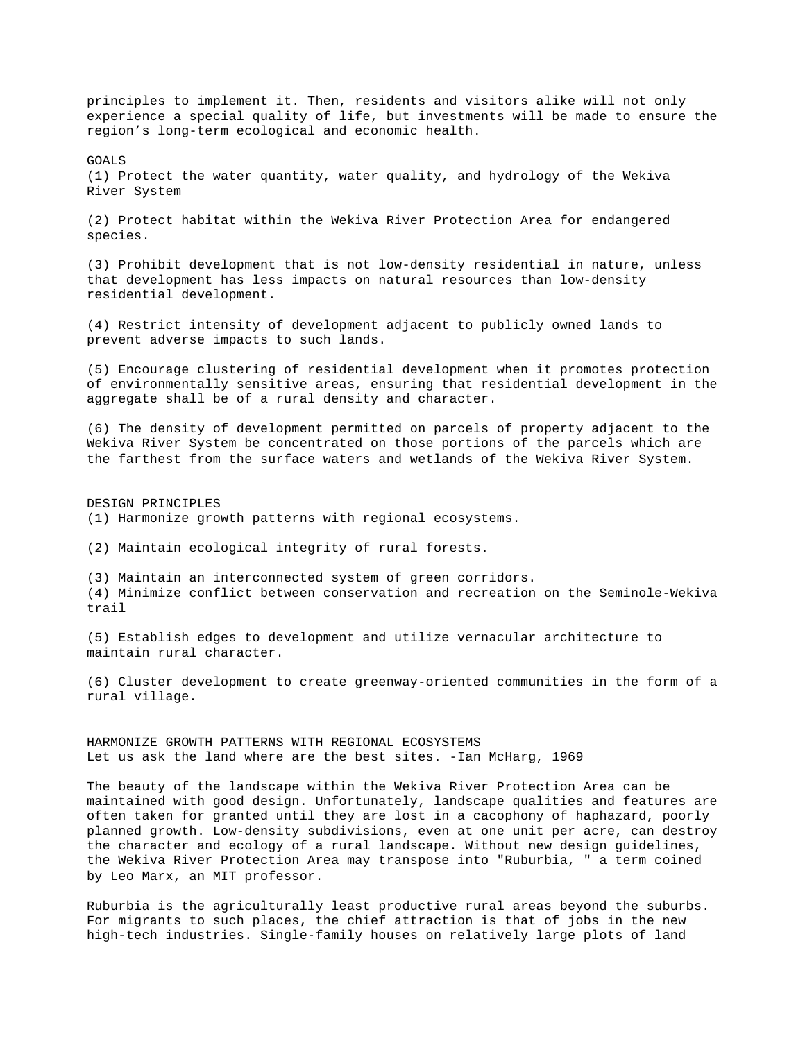principles to implement it. Then, residents and visitors alike will not only experience a special quality of life, but investments will be made to ensure the region's long-term ecological and economic health.

GOALS

(1) Protect the water quantity, water quality, and hydrology of the Wekiva River System

(2) Protect habitat within the Wekiva River Protection Area for endangered species.

(3) Prohibit development that is not low-density residential in nature, unless that development has less impacts on natural resources than low-density residential development.

(4) Restrict intensity of development adjacent to publicly owned lands to prevent adverse impacts to such lands.

(5) Encourage clustering of residential development when it promotes protection of environmentally sensitive areas, ensuring that residential development in the aggregate shall be of a rural density and character.

(6) The density of development permitted on parcels of property adjacent to the Wekiva River System be concentrated on those portions of the parcels which are the farthest from the surface waters and wetlands of the Wekiva River System.

DESIGN PRINCIPLES (1) Harmonize growth patterns with regional ecosystems.

(2) Maintain ecological integrity of rural forests.

(3) Maintain an interconnected system of green corridors. (4) Minimize conflict between conservation and recreation on the Seminole-Wekiva trail

(5) Establish edges to development and utilize vernacular architecture to maintain rural character.

(6) Cluster development to create greenway-oriented communities in the form of a rural village.

HARMONIZE GROWTH PATTERNS WITH REGIONAL ECOSYSTEMS Let us ask the land where are the best sites. -Ian McHarg, 1969

The beauty of the landscape within the Wekiva River Protection Area can be maintained with good design. Unfortunately, landscape qualities and features are often taken for granted until they are lost in a cacophony of haphazard, poorly planned growth. Low-density subdivisions, even at one unit per acre, can destroy the character and ecology of a rural landscape. Without new design guidelines, the Wekiva River Protection Area may transpose into "Ruburbia, " a term coined by Leo Marx, an MIT professor.

Ruburbia is the agriculturally least productive rural areas beyond the suburbs. For migrants to such places, the chief attraction is that of jobs in the new high-tech industries. Single-family houses on relatively large plots of land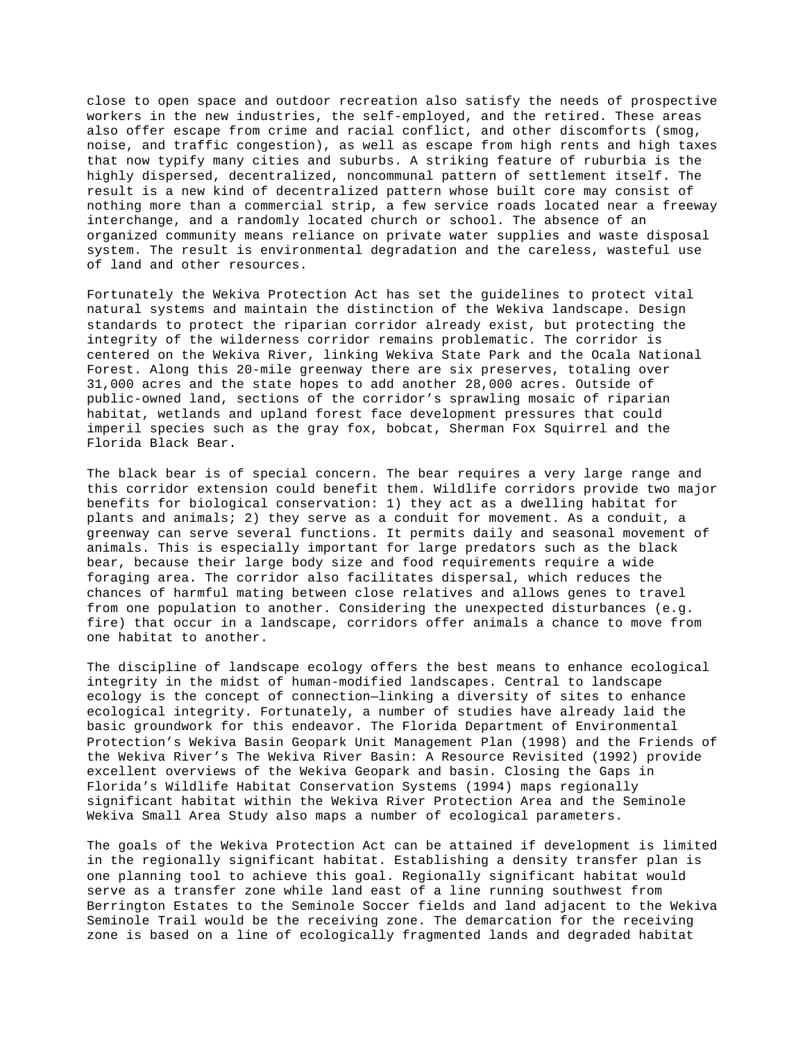close to open space and outdoor recreation also satisfy the needs of prospective workers in the new industries, the self-employed, and the retired. These areas also offer escape from crime and racial conflict, and other discomforts (smog, noise, and traffic congestion), as well as escape from high rents and high taxes that now typify many cities and suburbs. A striking feature of ruburbia is the highly dispersed, decentralized, noncommunal pattern of settlement itself. The result is a new kind of decentralized pattern whose built core may consist of nothing more than a commercial strip, a few service roads located near a freeway interchange, and a randomly located church or school. The absence of an organized community means reliance on private water supplies and waste disposal system. The result is environmental degradation and the careless, wasteful use of land and other resources.

Fortunately the Wekiva Protection Act has set the guidelines to protect vital natural systems and maintain the distinction of the Wekiva landscape. Design standards to protect the riparian corridor already exist, but protecting the integrity of the wilderness corridor remains problematic. The corridor is centered on the Wekiva River, linking Wekiva State Park and the Ocala National Forest. Along this 20-mile greenway there are six preserves, totaling over 31,000 acres and the state hopes to add another 28,000 acres. Outside of public-owned land, sections of the corridor's sprawling mosaic of riparian habitat, wetlands and upland forest face development pressures that could imperil species such as the gray fox, bobcat, Sherman Fox Squirrel and the Florida Black Bear.

The black bear is of special concern. The bear requires a very large range and this corridor extension could benefit them. Wildlife corridors provide two major benefits for biological conservation: 1) they act as a dwelling habitat for plants and animals; 2) they serve as a conduit for movement. As a conduit, a greenway can serve several functions. It permits daily and seasonal movement of animals. This is especially important for large predators such as the black bear, because their large body size and food requirements require a wide foraging area. The corridor also facilitates dispersal, which reduces the chances of harmful mating between close relatives and allows genes to travel from one population to another. Considering the unexpected disturbances (e.g. fire) that occur in a landscape, corridors offer animals a chance to move from one habitat to another.

The discipline of landscape ecology offers the best means to enhance ecological integrity in the midst of human-modified landscapes. Central to landscape ecology is the concept of connection—linking a diversity of sites to enhance ecological integrity. Fortunately, a number of studies have already laid the basic groundwork for this endeavor. The Florida Department of Environmental Protection's Wekiva Basin Geopark Unit Management Plan (1998) and the Friends of the Wekiva River's The Wekiva River Basin: A Resource Revisited (1992) provide excellent overviews of the Wekiva Geopark and basin. Closing the Gaps in Florida's Wildlife Habitat Conservation Systems (1994) maps regionally significant habitat within the Wekiva River Protection Area and the Seminole Wekiva Small Area Study also maps a number of ecological parameters.

The goals of the Wekiva Protection Act can be attained if development is limited in the regionally significant habitat. Establishing a density transfer plan is one planning tool to achieve this goal. Regionally significant habitat would serve as a transfer zone while land east of a line running southwest from Berrington Estates to the Seminole Soccer fields and land adjacent to the Wekiva Seminole Trail would be the receiving zone. The demarcation for the receiving zone is based on a line of ecologically fragmented lands and degraded habitat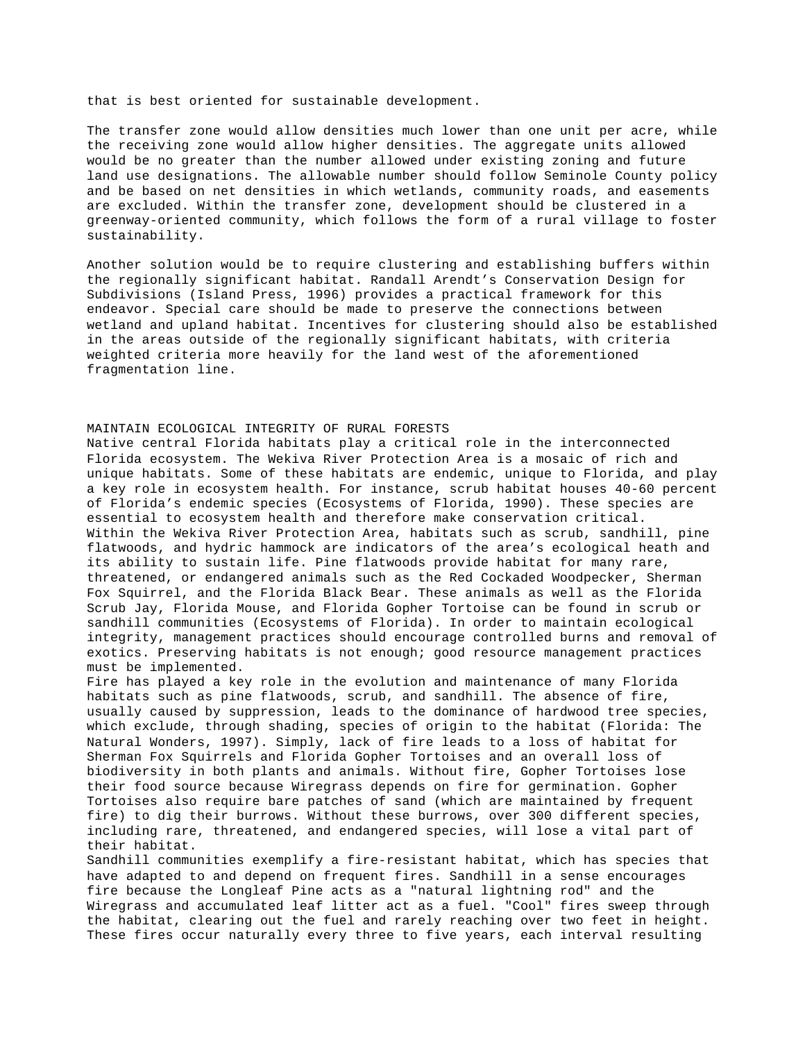that is best oriented for sustainable development.

The transfer zone would allow densities much lower than one unit per acre, while the receiving zone would allow higher densities. The aggregate units allowed would be no greater than the number allowed under existing zoning and future land use designations. The allowable number should follow Seminole County policy and be based on net densities in which wetlands, community roads, and easements are excluded. Within the transfer zone, development should be clustered in a greenway-oriented community, which follows the form of a rural village to foster sustainability.

Another solution would be to require clustering and establishing buffers within the regionally significant habitat. Randall Arendt's Conservation Design for Subdivisions (Island Press, 1996) provides a practical framework for this endeavor. Special care should be made to preserve the connections between wetland and upland habitat. Incentives for clustering should also be established in the areas outside of the regionally significant habitats, with criteria weighted criteria more heavily for the land west of the aforementioned fragmentation line.

## MAINTAIN ECOLOGICAL INTEGRITY OF RURAL FORESTS

Native central Florida habitats play a critical role in the interconnected Florida ecosystem. The Wekiva River Protection Area is a mosaic of rich and unique habitats. Some of these habitats are endemic, unique to Florida, and play a key role in ecosystem health. For instance, scrub habitat houses 40-60 percent of Florida's endemic species (Ecosystems of Florida, 1990). These species are essential to ecosystem health and therefore make conservation critical. Within the Wekiva River Protection Area, habitats such as scrub, sandhill, pine flatwoods, and hydric hammock are indicators of the area's ecological heath and its ability to sustain life. Pine flatwoods provide habitat for many rare, threatened, or endangered animals such as the Red Cockaded Woodpecker, Sherman Fox Squirrel, and the Florida Black Bear. These animals as well as the Florida Scrub Jay, Florida Mouse, and Florida Gopher Tortoise can be found in scrub or sandhill communities (Ecosystems of Florida). In order to maintain ecological integrity, management practices should encourage controlled burns and removal of exotics. Preserving habitats is not enough; good resource management practices must be implemented.

Fire has played a key role in the evolution and maintenance of many Florida habitats such as pine flatwoods, scrub, and sandhill. The absence of fire, usually caused by suppression, leads to the dominance of hardwood tree species, which exclude, through shading, species of origin to the habitat (Florida: The Natural Wonders, 1997). Simply, lack of fire leads to a loss of habitat for Sherman Fox Squirrels and Florida Gopher Tortoises and an overall loss of biodiversity in both plants and animals. Without fire, Gopher Tortoises lose their food source because Wiregrass depends on fire for germination. Gopher Tortoises also require bare patches of sand (which are maintained by frequent fire) to dig their burrows. Without these burrows, over 300 different species, including rare, threatened, and endangered species, will lose a vital part of their habitat.

Sandhill communities exemplify a fire-resistant habitat, which has species that have adapted to and depend on frequent fires. Sandhill in a sense encourages fire because the Longleaf Pine acts as a "natural lightning rod" and the Wiregrass and accumulated leaf litter act as a fuel. "Cool" fires sweep through the habitat, clearing out the fuel and rarely reaching over two feet in height. These fires occur naturally every three to five years, each interval resulting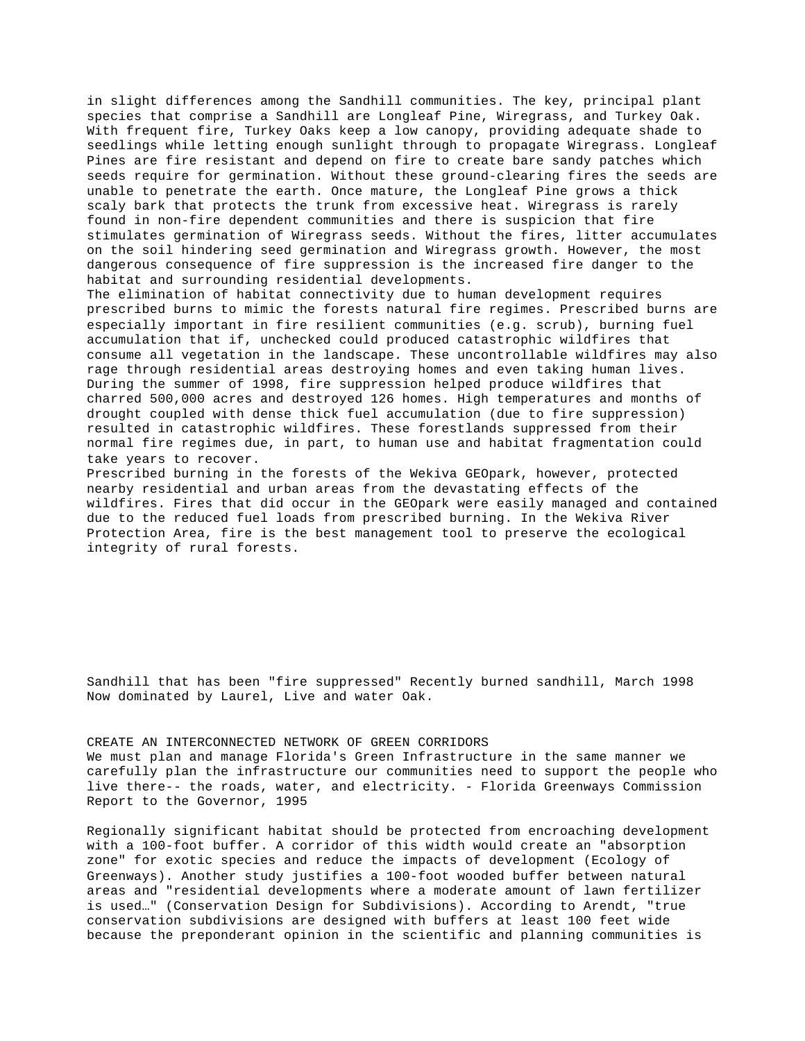in slight differences among the Sandhill communities. The key, principal plant species that comprise a Sandhill are Longleaf Pine, Wiregrass, and Turkey Oak. With frequent fire, Turkey Oaks keep a low canopy, providing adequate shade to seedlings while letting enough sunlight through to propagate Wiregrass. Longleaf Pines are fire resistant and depend on fire to create bare sandy patches which seeds require for germination. Without these ground-clearing fires the seeds are unable to penetrate the earth. Once mature, the Longleaf Pine grows a thick scaly bark that protects the trunk from excessive heat. Wiregrass is rarely found in non-fire dependent communities and there is suspicion that fire stimulates germination of Wiregrass seeds. Without the fires, litter accumulates on the soil hindering seed germination and Wiregrass growth. However, the most dangerous consequence of fire suppression is the increased fire danger to the habitat and surrounding residential developments.

The elimination of habitat connectivity due to human development requires prescribed burns to mimic the forests natural fire regimes. Prescribed burns are especially important in fire resilient communities (e.g. scrub), burning fuel accumulation that if, unchecked could produced catastrophic wildfires that consume all vegetation in the landscape. These uncontrollable wildfires may also rage through residential areas destroying homes and even taking human lives. During the summer of 1998, fire suppression helped produce wildfires that charred 500,000 acres and destroyed 126 homes. High temperatures and months of drought coupled with dense thick fuel accumulation (due to fire suppression) resulted in catastrophic wildfires. These forestlands suppressed from their normal fire regimes due, in part, to human use and habitat fragmentation could take years to recover.

Prescribed burning in the forests of the Wekiva GEOpark, however, protected nearby residential and urban areas from the devastating effects of the wildfires. Fires that did occur in the GEOpark were easily managed and contained due to the reduced fuel loads from prescribed burning. In the Wekiva River Protection Area, fire is the best management tool to preserve the ecological integrity of rural forests.

Sandhill that has been "fire suppressed" Recently burned sandhill, March 1998 Now dominated by Laurel, Live and water Oak.

# CREATE AN INTERCONNECTED NETWORK OF GREEN CORRIDORS We must plan and manage Florida's Green Infrastructure in the same manner we carefully plan the infrastructure our communities need to support the people who live there-- the roads, water, and electricity. - Florida Greenways Commission Report to the Governor, 1995

Regionally significant habitat should be protected from encroaching development with a 100-foot buffer. A corridor of this width would create an "absorption zone" for exotic species and reduce the impacts of development (Ecology of Greenways). Another study justifies a 100-foot wooded buffer between natural areas and "residential developments where a moderate amount of lawn fertilizer is used…" (Conservation Design for Subdivisions). According to Arendt, "true conservation subdivisions are designed with buffers at least 100 feet wide because the preponderant opinion in the scientific and planning communities is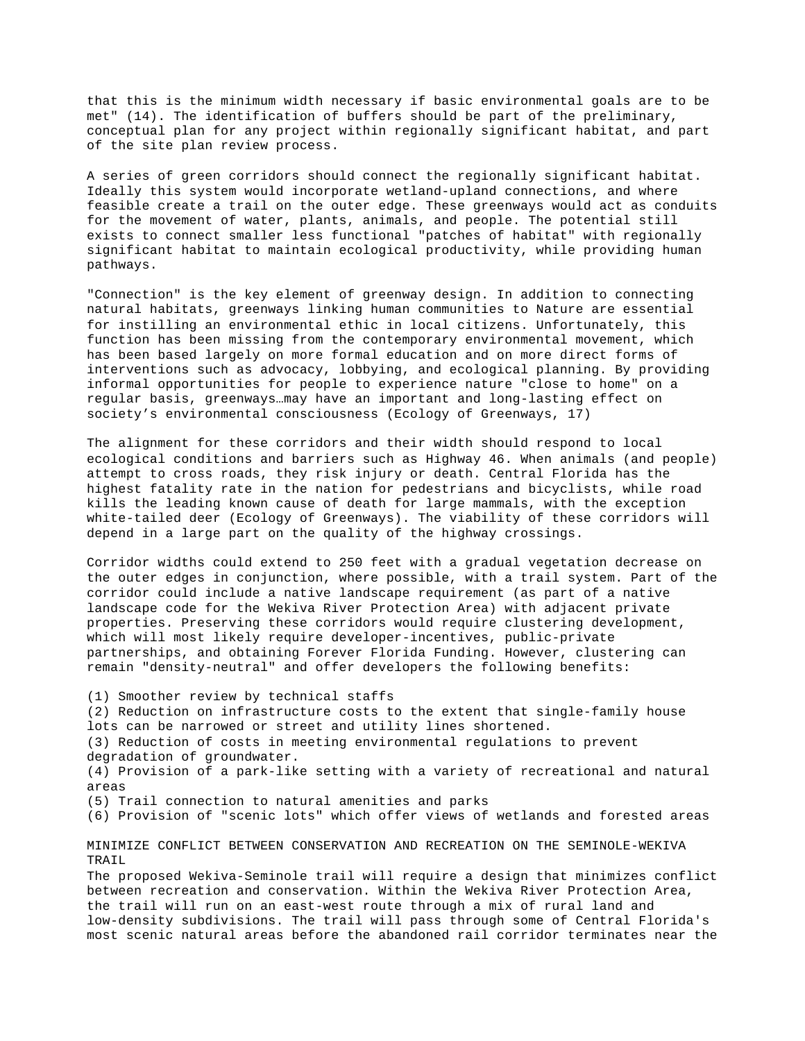that this is the minimum width necessary if basic environmental goals are to be met" (14). The identification of buffers should be part of the preliminary, conceptual plan for any project within regionally significant habitat, and part of the site plan review process.

A series of green corridors should connect the regionally significant habitat. Ideally this system would incorporate wetland-upland connections, and where feasible create a trail on the outer edge. These greenways would act as conduits for the movement of water, plants, animals, and people. The potential still exists to connect smaller less functional "patches of habitat" with regionally significant habitat to maintain ecological productivity, while providing human pathways.

"Connection" is the key element of greenway design. In addition to connecting natural habitats, greenways linking human communities to Nature are essential for instilling an environmental ethic in local citizens. Unfortunately, this function has been missing from the contemporary environmental movement, which has been based largely on more formal education and on more direct forms of interventions such as advocacy, lobbying, and ecological planning. By providing informal opportunities for people to experience nature "close to home" on a regular basis, greenways…may have an important and long-lasting effect on society's environmental consciousness (Ecology of Greenways, 17)

The alignment for these corridors and their width should respond to local ecological conditions and barriers such as Highway 46. When animals (and people) attempt to cross roads, they risk injury or death. Central Florida has the highest fatality rate in the nation for pedestrians and bicyclists, while road kills the leading known cause of death for large mammals, with the exception white-tailed deer (Ecology of Greenways). The viability of these corridors will depend in a large part on the quality of the highway crossings.

Corridor widths could extend to 250 feet with a gradual vegetation decrease on the outer edges in conjunction, where possible, with a trail system. Part of the corridor could include a native landscape requirement (as part of a native landscape code for the Wekiva River Protection Area) with adjacent private properties. Preserving these corridors would require clustering development, which will most likely require developer-incentives, public-private partnerships, and obtaining Forever Florida Funding. However, clustering can remain "density-neutral" and offer developers the following benefits:

(1) Smoother review by technical staffs

(2) Reduction on infrastructure costs to the extent that single-family house lots can be narrowed or street and utility lines shortened.

(3) Reduction of costs in meeting environmental regulations to prevent degradation of groundwater.

(4) Provision of a park-like setting with a variety of recreational and natural areas

(5) Trail connection to natural amenities and parks

(6) Provision of "scenic lots" which offer views of wetlands and forested areas

MINIMIZE CONFLICT BETWEEN CONSERVATION AND RECREATION ON THE SEMINOLE-WEKIVA TRAIL

The proposed Wekiva-Seminole trail will require a design that minimizes conflict between recreation and conservation. Within the Wekiva River Protection Area, the trail will run on an east-west route through a mix of rural land and low-density subdivisions. The trail will pass through some of Central Florida's most scenic natural areas before the abandoned rail corridor terminates near the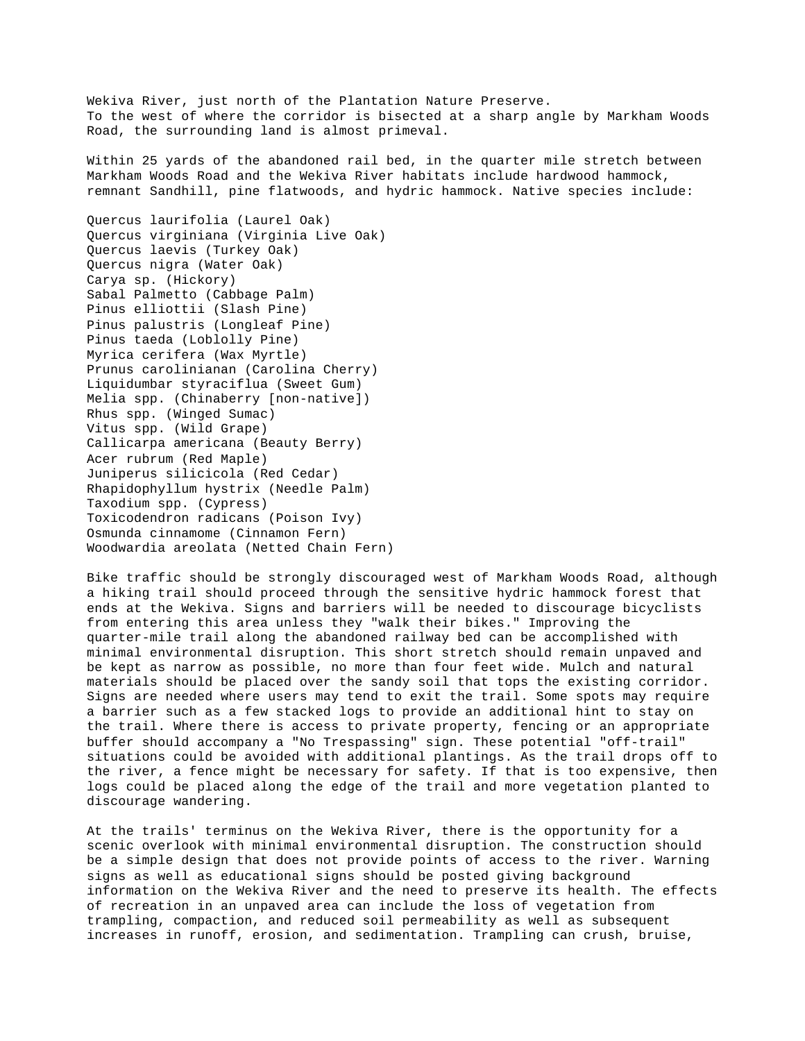Wekiva River, just north of the Plantation Nature Preserve. To the west of where the corridor is bisected at a sharp angle by Markham Woods Road, the surrounding land is almost primeval.

Within 25 yards of the abandoned rail bed, in the quarter mile stretch between Markham Woods Road and the Wekiva River habitats include hardwood hammock, remnant Sandhill, pine flatwoods, and hydric hammock. Native species include:

Quercus laurifolia (Laurel Oak) Quercus virginiana (Virginia Live Oak) Quercus laevis (Turkey Oak) Quercus nigra (Water Oak) Carya sp. (Hickory) Sabal Palmetto (Cabbage Palm) Pinus elliottii (Slash Pine) Pinus palustris (Longleaf Pine) Pinus taeda (Loblolly Pine) Myrica cerifera (Wax Myrtle) Prunus carolinianan (Carolina Cherry) Liquidumbar styraciflua (Sweet Gum) Melia spp. (Chinaberry [non-native]) Rhus spp. (Winged Sumac) Vitus spp. (Wild Grape) Callicarpa americana (Beauty Berry) Acer rubrum (Red Maple) Juniperus silicicola (Red Cedar) Rhapidophyllum hystrix (Needle Palm) Taxodium spp. (Cypress) Toxicodendron radicans (Poison Ivy) Osmunda cinnamome (Cinnamon Fern) Woodwardia areolata (Netted Chain Fern)

Bike traffic should be strongly discouraged west of Markham Woods Road, although a hiking trail should proceed through the sensitive hydric hammock forest that ends at the Wekiva. Signs and barriers will be needed to discourage bicyclists from entering this area unless they "walk their bikes." Improving the quarter-mile trail along the abandoned railway bed can be accomplished with minimal environmental disruption. This short stretch should remain unpaved and be kept as narrow as possible, no more than four feet wide. Mulch and natural materials should be placed over the sandy soil that tops the existing corridor. Signs are needed where users may tend to exit the trail. Some spots may require a barrier such as a few stacked logs to provide an additional hint to stay on the trail. Where there is access to private property, fencing or an appropriate buffer should accompany a "No Trespassing" sign. These potential "off-trail" situations could be avoided with additional plantings. As the trail drops off to the river, a fence might be necessary for safety. If that is too expensive, then logs could be placed along the edge of the trail and more vegetation planted to discourage wandering.

At the trails' terminus on the Wekiva River, there is the opportunity for a scenic overlook with minimal environmental disruption. The construction should be a simple design that does not provide points of access to the river. Warning signs as well as educational signs should be posted giving background information on the Wekiva River and the need to preserve its health. The effects of recreation in an unpaved area can include the loss of vegetation from trampling, compaction, and reduced soil permeability as well as subsequent increases in runoff, erosion, and sedimentation. Trampling can crush, bruise,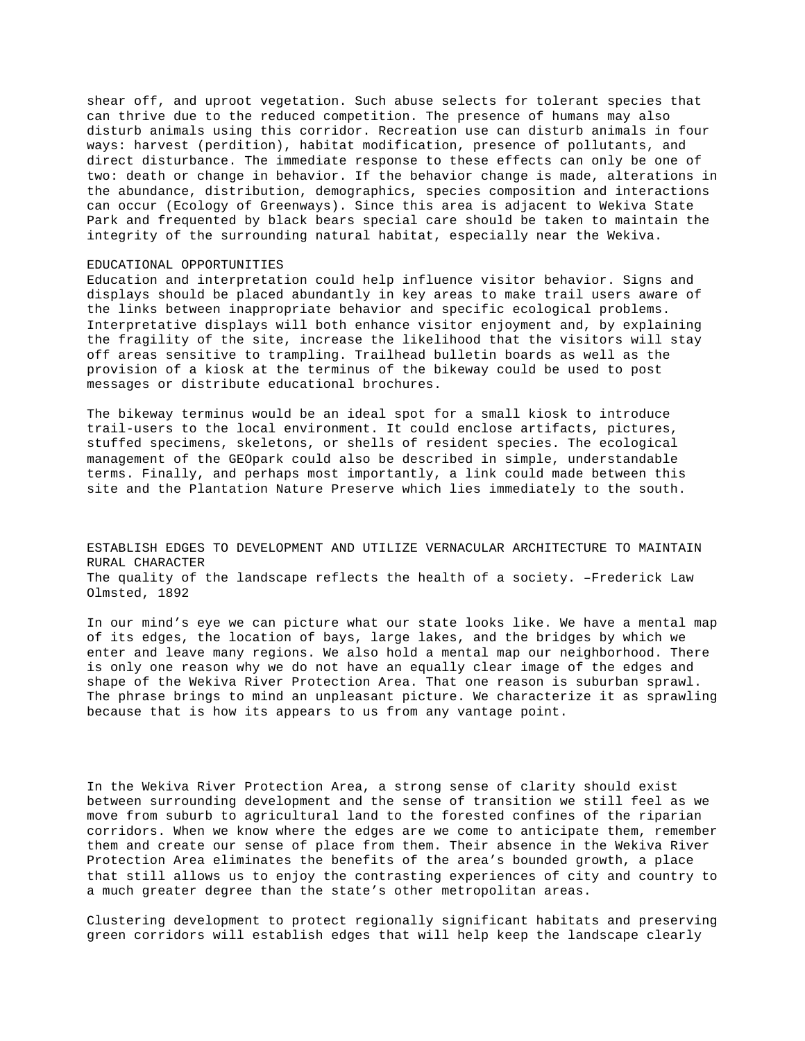shear off, and uproot vegetation. Such abuse selects for tolerant species that can thrive due to the reduced competition. The presence of humans may also disturb animals using this corridor. Recreation use can disturb animals in four ways: harvest (perdition), habitat modification, presence of pollutants, and direct disturbance. The immediate response to these effects can only be one of two: death or change in behavior. If the behavior change is made, alterations in the abundance, distribution, demographics, species composition and interactions can occur (Ecology of Greenways). Since this area is adjacent to Wekiva State Park and frequented by black bears special care should be taken to maintain the integrity of the surrounding natural habitat, especially near the Wekiva.

#### EDUCATIONAL OPPORTUNITIES

Education and interpretation could help influence visitor behavior. Signs and displays should be placed abundantly in key areas to make trail users aware of the links between inappropriate behavior and specific ecological problems. Interpretative displays will both enhance visitor enjoyment and, by explaining the fragility of the site, increase the likelihood that the visitors will stay off areas sensitive to trampling. Trailhead bulletin boards as well as the provision of a kiosk at the terminus of the bikeway could be used to post messages or distribute educational brochures.

The bikeway terminus would be an ideal spot for a small kiosk to introduce trail-users to the local environment. It could enclose artifacts, pictures, stuffed specimens, skeletons, or shells of resident species. The ecological management of the GEOpark could also be described in simple, understandable terms. Finally, and perhaps most importantly, a link could made between this site and the Plantation Nature Preserve which lies immediately to the south.

ESTABLISH EDGES TO DEVELOPMENT AND UTILIZE VERNACULAR ARCHITECTURE TO MAINTAIN RURAL CHARACTER The quality of the landscape reflects the health of a society. –Frederick Law Olmsted, 1892

In our mind's eye we can picture what our state looks like. We have a mental map of its edges, the location of bays, large lakes, and the bridges by which we enter and leave many regions. We also hold a mental map our neighborhood. There is only one reason why we do not have an equally clear image of the edges and shape of the Wekiva River Protection Area. That one reason is suburban sprawl. The phrase brings to mind an unpleasant picture. We characterize it as sprawling because that is how its appears to us from any vantage point.

In the Wekiva River Protection Area, a strong sense of clarity should exist between surrounding development and the sense of transition we still feel as we move from suburb to agricultural land to the forested confines of the riparian corridors. When we know where the edges are we come to anticipate them, remember them and create our sense of place from them. Their absence in the Wekiva River Protection Area eliminates the benefits of the area's bounded growth, a place that still allows us to enjoy the contrasting experiences of city and country to a much greater degree than the state's other metropolitan areas.

Clustering development to protect regionally significant habitats and preserving green corridors will establish edges that will help keep the landscape clearly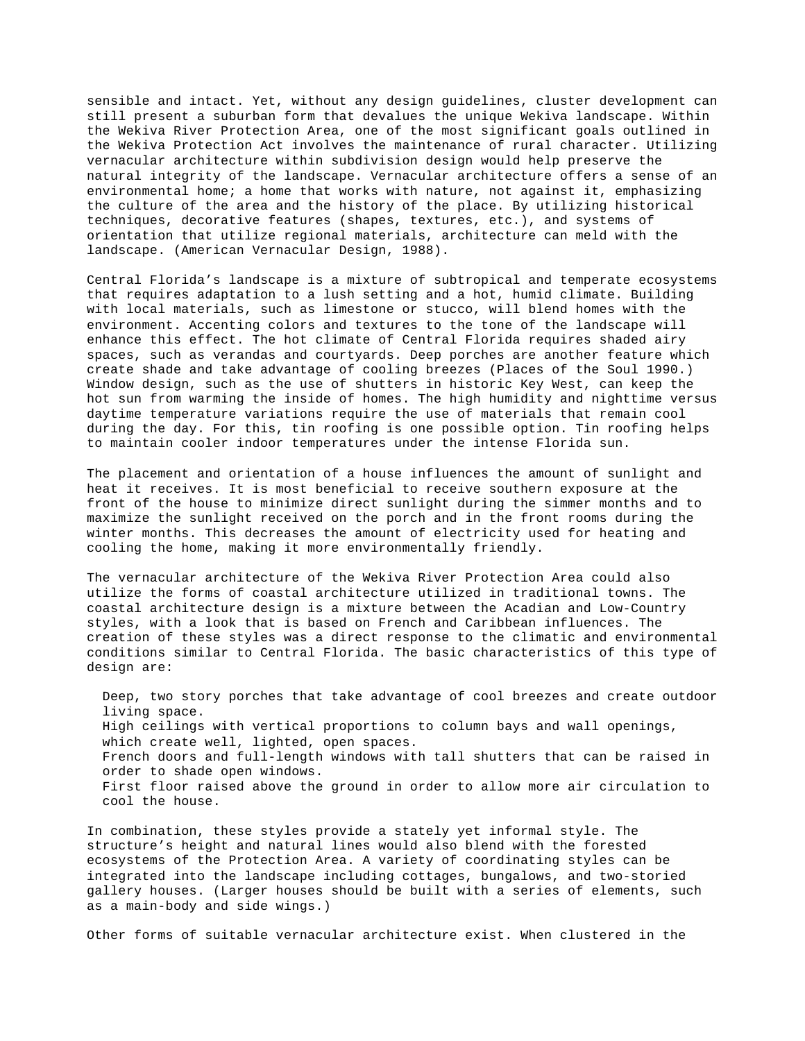sensible and intact. Yet, without any design guidelines, cluster development can still present a suburban form that devalues the unique Wekiva landscape. Within the Wekiva River Protection Area, one of the most significant goals outlined in the Wekiva Protection Act involves the maintenance of rural character. Utilizing vernacular architecture within subdivision design would help preserve the natural integrity of the landscape. Vernacular architecture offers a sense of an environmental home; a home that works with nature, not against it, emphasizing the culture of the area and the history of the place. By utilizing historical techniques, decorative features (shapes, textures, etc.), and systems of orientation that utilize regional materials, architecture can meld with the landscape. (American Vernacular Design, 1988).

Central Florida's landscape is a mixture of subtropical and temperate ecosystems that requires adaptation to a lush setting and a hot, humid climate. Building with local materials, such as limestone or stucco, will blend homes with the environment. Accenting colors and textures to the tone of the landscape will enhance this effect. The hot climate of Central Florida requires shaded airy spaces, such as verandas and courtyards. Deep porches are another feature which create shade and take advantage of cooling breezes (Places of the Soul 1990.) Window design, such as the use of shutters in historic Key West, can keep the hot sun from warming the inside of homes. The high humidity and nighttime versus daytime temperature variations require the use of materials that remain cool during the day. For this, tin roofing is one possible option. Tin roofing helps to maintain cooler indoor temperatures under the intense Florida sun.

The placement and orientation of a house influences the amount of sunlight and heat it receives. It is most beneficial to receive southern exposure at the front of the house to minimize direct sunlight during the simmer months and to maximize the sunlight received on the porch and in the front rooms during the winter months. This decreases the amount of electricity used for heating and cooling the home, making it more environmentally friendly.

The vernacular architecture of the Wekiva River Protection Area could also utilize the forms of coastal architecture utilized in traditional towns. The coastal architecture design is a mixture between the Acadian and Low-Country styles, with a look that is based on French and Caribbean influences. The creation of these styles was a direct response to the climatic and environmental conditions similar to Central Florida. The basic characteristics of this type of design are:

 Deep, two story porches that take advantage of cool breezes and create outdoor living space. High ceilings with vertical proportions to column bays and wall openings, which create well, lighted, open spaces. French doors and full-length windows with tall shutters that can be raised in order to shade open windows. First floor raised above the ground in order to allow more air circulation to cool the house.

In combination, these styles provide a stately yet informal style. The structure's height and natural lines would also blend with the forested ecosystems of the Protection Area. A variety of coordinating styles can be integrated into the landscape including cottages, bungalows, and two-storied gallery houses. (Larger houses should be built with a series of elements, such as a main-body and side wings.)

Other forms of suitable vernacular architecture exist. When clustered in the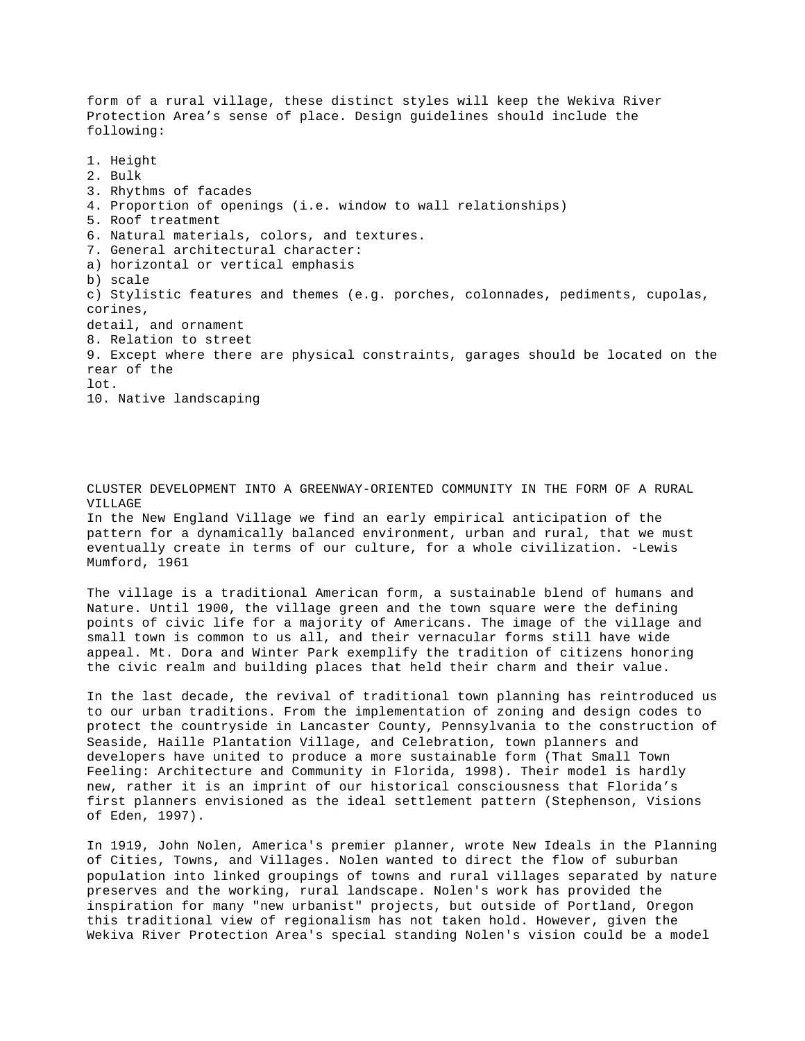form of a rural village, these distinct styles will keep the Wekiva River Protection Area's sense of place. Design guidelines should include the following: 1. Height 2. Bulk 3. Rhythms of facades 4. Proportion of openings (i.e. window to wall relationships) 5. Roof treatment 6. Natural materials, colors, and textures. 7. General architectural character: a) horizontal or vertical emphasis b) scale c) Stylistic features and themes (e.g. porches, colonnades, pediments, cupolas, corines, detail, and ornament 8. Relation to street 9. Except where there are physical constraints, garages should be located on the rear of the lot. 10. Native landscaping

CLUSTER DEVELOPMENT INTO A GREENWAY-ORIENTED COMMUNITY IN THE FORM OF A RURAL VILLAGE In the New England Village we find an early empirical anticipation of the pattern for a dynamically balanced environment, urban and rural, that we must eventually create in terms of our culture, for a whole civilization. -Lewis Mumford, 1961

The village is a traditional American form, a sustainable blend of humans and Nature. Until 1900, the village green and the town square were the defining points of civic life for a majority of Americans. The image of the village and small town is common to us all, and their vernacular forms still have wide appeal. Mt. Dora and Winter Park exemplify the tradition of citizens honoring the civic realm and building places that held their charm and their value.

In the last decade, the revival of traditional town planning has reintroduced us to our urban traditions. From the implementation of zoning and design codes to protect the countryside in Lancaster County, Pennsylvania to the construction of Seaside, Haille Plantation Village, and Celebration, town planners and developers have united to produce a more sustainable form (That Small Town Feeling: Architecture and Community in Florida, 1998). Their model is hardly new, rather it is an imprint of our historical consciousness that Florida's first planners envisioned as the ideal settlement pattern (Stephenson, Visions of Eden, 1997).

In 1919, John Nolen, America's premier planner, wrote New Ideals in the Planning of Cities, Towns, and Villages. Nolen wanted to direct the flow of suburban population into linked groupings of towns and rural villages separated by nature preserves and the working, rural landscape. Nolen's work has provided the inspiration for many "new urbanist" projects, but outside of Portland, Oregon this traditional view of regionalism has not taken hold. However, given the Wekiva River Protection Area's special standing Nolen's vision could be a model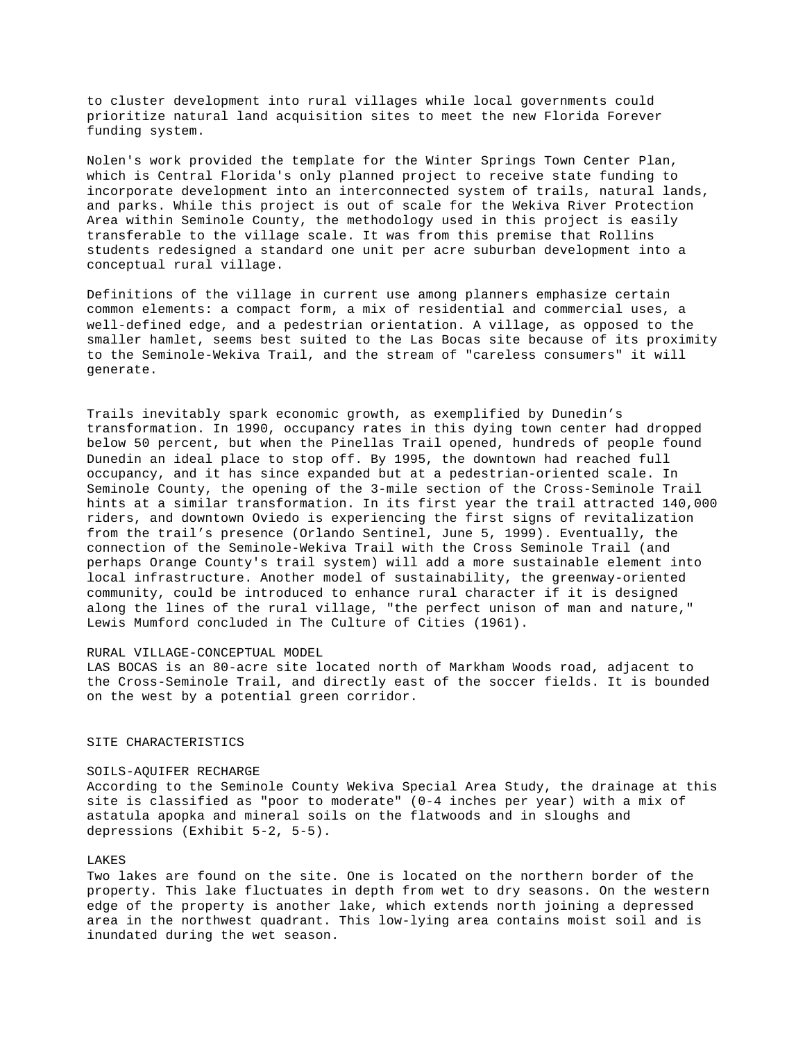to cluster development into rural villages while local governments could prioritize natural land acquisition sites to meet the new Florida Forever funding system.

Nolen's work provided the template for the Winter Springs Town Center Plan, which is Central Florida's only planned project to receive state funding to incorporate development into an interconnected system of trails, natural lands, and parks. While this project is out of scale for the Wekiva River Protection Area within Seminole County, the methodology used in this project is easily transferable to the village scale. It was from this premise that Rollins students redesigned a standard one unit per acre suburban development into a conceptual rural village.

Definitions of the village in current use among planners emphasize certain common elements: a compact form, a mix of residential and commercial uses, a well-defined edge, and a pedestrian orientation. A village, as opposed to the smaller hamlet, seems best suited to the Las Bocas site because of its proximity to the Seminole-Wekiva Trail, and the stream of "careless consumers" it will generate.

Trails inevitably spark economic growth, as exemplified by Dunedin's transformation. In 1990, occupancy rates in this dying town center had dropped below 50 percent, but when the Pinellas Trail opened, hundreds of people found Dunedin an ideal place to stop off. By 1995, the downtown had reached full occupancy, and it has since expanded but at a pedestrian-oriented scale. In Seminole County, the opening of the 3-mile section of the Cross-Seminole Trail hints at a similar transformation. In its first year the trail attracted 140,000 riders, and downtown Oviedo is experiencing the first signs of revitalization from the trail's presence (Orlando Sentinel, June 5, 1999). Eventually, the connection of the Seminole-Wekiva Trail with the Cross Seminole Trail (and perhaps Orange County's trail system) will add a more sustainable element into local infrastructure. Another model of sustainability, the greenway-oriented community, could be introduced to enhance rural character if it is designed along the lines of the rural village, "the perfect unison of man and nature," Lewis Mumford concluded in The Culture of Cities (1961).

### RURAL VILLAGE-CONCEPTUAL MODEL

LAS BOCAS is an 80-acre site located north of Markham Woods road, adjacent to the Cross-Seminole Trail, and directly east of the soccer fields. It is bounded on the west by a potential green corridor.

## SITE CHARACTERISTICS

## SOILS-AQUIFER RECHARGE

According to the Seminole County Wekiva Special Area Study, the drainage at this site is classified as "poor to moderate" (0-4 inches per year) with a mix of astatula apopka and mineral soils on the flatwoods and in sloughs and depressions (Exhibit 5-2, 5-5).

### **LAKES**

Two lakes are found on the site. One is located on the northern border of the property. This lake fluctuates in depth from wet to dry seasons. On the western edge of the property is another lake, which extends north joining a depressed area in the northwest quadrant. This low-lying area contains moist soil and is inundated during the wet season.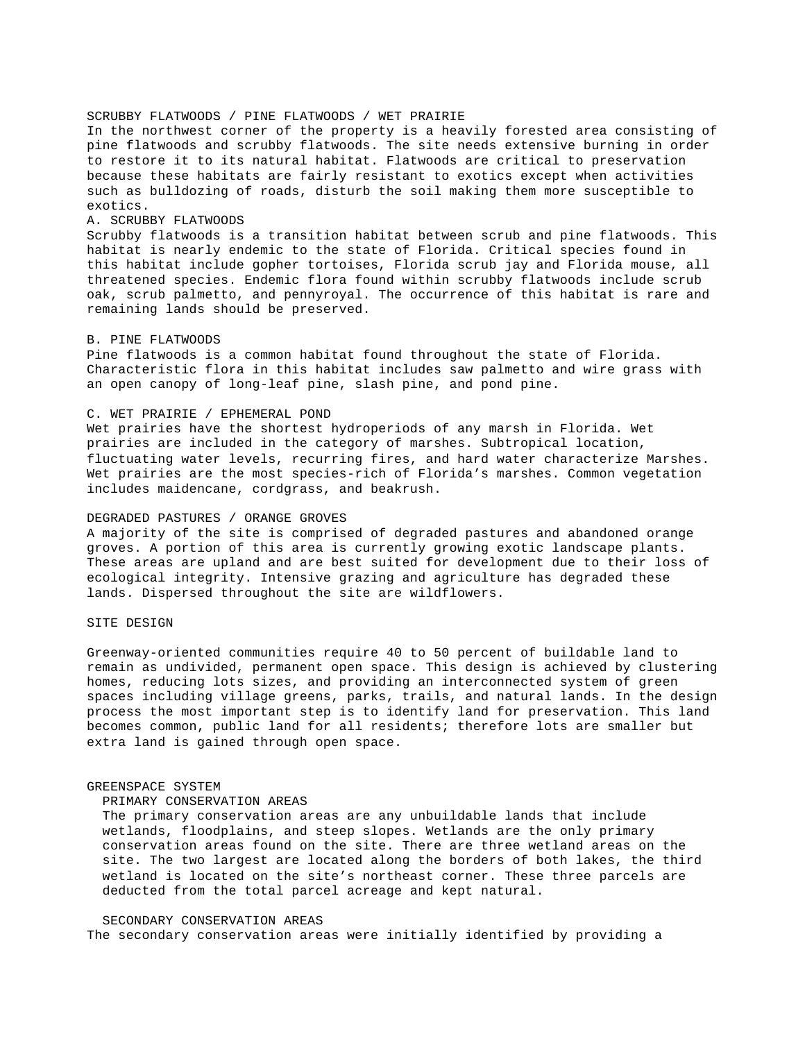# SCRUBBY FLATWOODS / PINE FLATWOODS / WET PRAIRIE

In the northwest corner of the property is a heavily forested area consisting of pine flatwoods and scrubby flatwoods. The site needs extensive burning in order to restore it to its natural habitat. Flatwoods are critical to preservation because these habitats are fairly resistant to exotics except when activities such as bulldozing of roads, disturb the soil making them more susceptible to exotics.

### A. SCRUBBY FLATWOODS

Scrubby flatwoods is a transition habitat between scrub and pine flatwoods. This habitat is nearly endemic to the state of Florida. Critical species found in this habitat include gopher tortoises, Florida scrub jay and Florida mouse, all threatened species. Endemic flora found within scrubby flatwoods include scrub oak, scrub palmetto, and pennyroyal. The occurrence of this habitat is rare and remaining lands should be preserved.

## B. PINE FLATWOODS

Pine flatwoods is a common habitat found throughout the state of Florida. Characteristic flora in this habitat includes saw palmetto and wire grass with an open canopy of long-leaf pine, slash pine, and pond pine.

## C. WET PRAIRIE / EPHEMERAL POND

Wet prairies have the shortest hydroperiods of any marsh in Florida. Wet prairies are included in the category of marshes. Subtropical location, fluctuating water levels, recurring fires, and hard water characterize Marshes. Wet prairies are the most species-rich of Florida's marshes. Common vegetation includes maidencane, cordgrass, and beakrush.

## DEGRADED PASTURES / ORANGE GROVES

A majority of the site is comprised of degraded pastures and abandoned orange groves. A portion of this area is currently growing exotic landscape plants. These areas are upland and are best suited for development due to their loss of ecological integrity. Intensive grazing and agriculture has degraded these lands. Dispersed throughout the site are wildflowers.

# SITE DESIGN

Greenway-oriented communities require 40 to 50 percent of buildable land to remain as undivided, permanent open space. This design is achieved by clustering homes, reducing lots sizes, and providing an interconnected system of green spaces including village greens, parks, trails, and natural lands. In the design process the most important step is to identify land for preservation. This land becomes common, public land for all residents; therefore lots are smaller but extra land is gained through open space.

#### GREENSPACE SYSTEM

### PRIMARY CONSERVATION AREAS

 The primary conservation areas are any unbuildable lands that include wetlands, floodplains, and steep slopes. Wetlands are the only primary conservation areas found on the site. There are three wetland areas on the site. The two largest are located along the borders of both lakes, the third wetland is located on the site's northeast corner. These three parcels are deducted from the total parcel acreage and kept natural.

## SECONDARY CONSERVATION AREAS

The secondary conservation areas were initially identified by providing a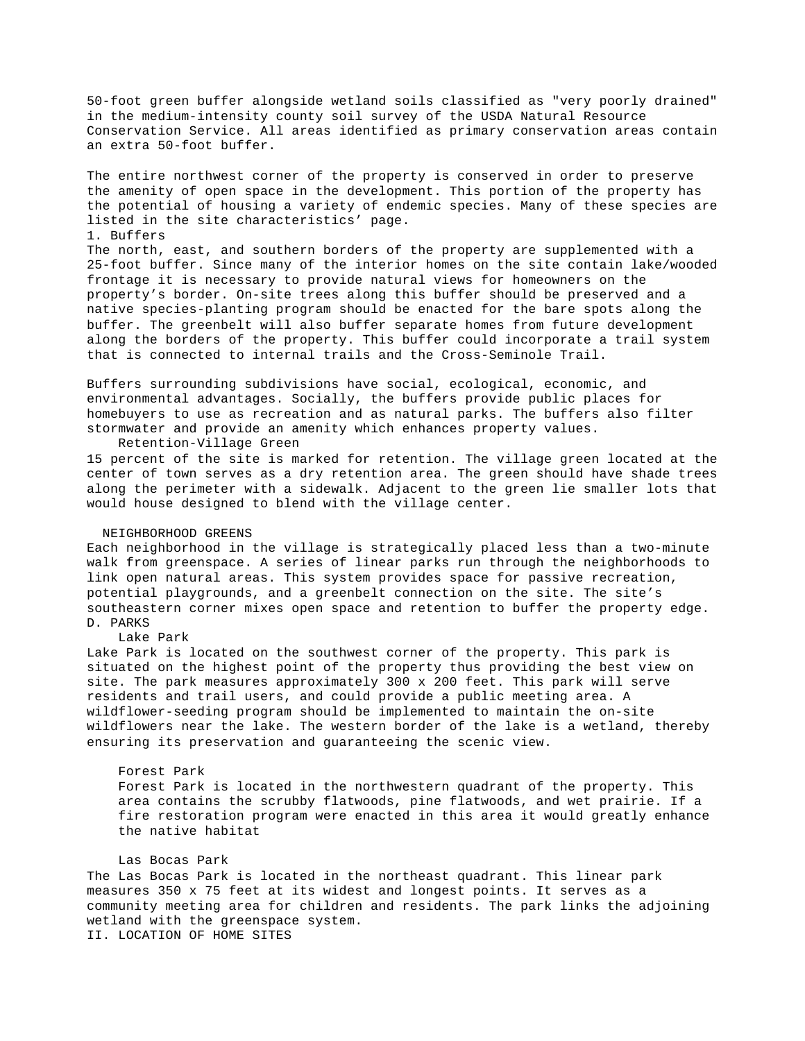50-foot green buffer alongside wetland soils classified as "very poorly drained" in the medium-intensity county soil survey of the USDA Natural Resource Conservation Service. All areas identified as primary conservation areas contain an extra 50-foot buffer.

The entire northwest corner of the property is conserved in order to preserve the amenity of open space in the development. This portion of the property has the potential of housing a variety of endemic species. Many of these species are listed in the site characteristics' page.

### 1. Buffers

The north, east, and southern borders of the property are supplemented with a 25-foot buffer. Since many of the interior homes on the site contain lake/wooded frontage it is necessary to provide natural views for homeowners on the property's border. On-site trees along this buffer should be preserved and a native species-planting program should be enacted for the bare spots along the buffer. The greenbelt will also buffer separate homes from future development along the borders of the property. This buffer could incorporate a trail system that is connected to internal trails and the Cross-Seminole Trail.

Buffers surrounding subdivisions have social, ecological, economic, and environmental advantages. Socially, the buffers provide public places for homebuyers to use as recreation and as natural parks. The buffers also filter stormwater and provide an amenity which enhances property values.

Retention-Village Green

15 percent of the site is marked for retention. The village green located at the center of town serves as a dry retention area. The green should have shade trees along the perimeter with a sidewalk. Adjacent to the green lie smaller lots that would house designed to blend with the village center.

## NEIGHBORHOOD GREENS

Each neighborhood in the village is strategically placed less than a two-minute walk from greenspace. A series of linear parks run through the neighborhoods to link open natural areas. This system provides space for passive recreation, potential playgrounds, and a greenbelt connection on the site. The site's southeastern corner mixes open space and retention to buffer the property edge. D. PARKS

## Lake Park

Lake Park is located on the southwest corner of the property. This park is situated on the highest point of the property thus providing the best view on site. The park measures approximately 300 x 200 feet. This park will serve residents and trail users, and could provide a public meeting area. A wildflower-seeding program should be implemented to maintain the on-site wildflowers near the lake. The western border of the lake is a wetland, thereby ensuring its preservation and guaranteeing the scenic view.

## Forest Park

 Forest Park is located in the northwestern quadrant of the property. This area contains the scrubby flatwoods, pine flatwoods, and wet prairie. If a fire restoration program were enacted in this area it would greatly enhance the native habitat

# Las Bocas Park

The Las Bocas Park is located in the northeast quadrant. This linear park measures 350 x 75 feet at its widest and longest points. It serves as a community meeting area for children and residents. The park links the adjoining wetland with the greenspace system.

II. LOCATION OF HOME SITES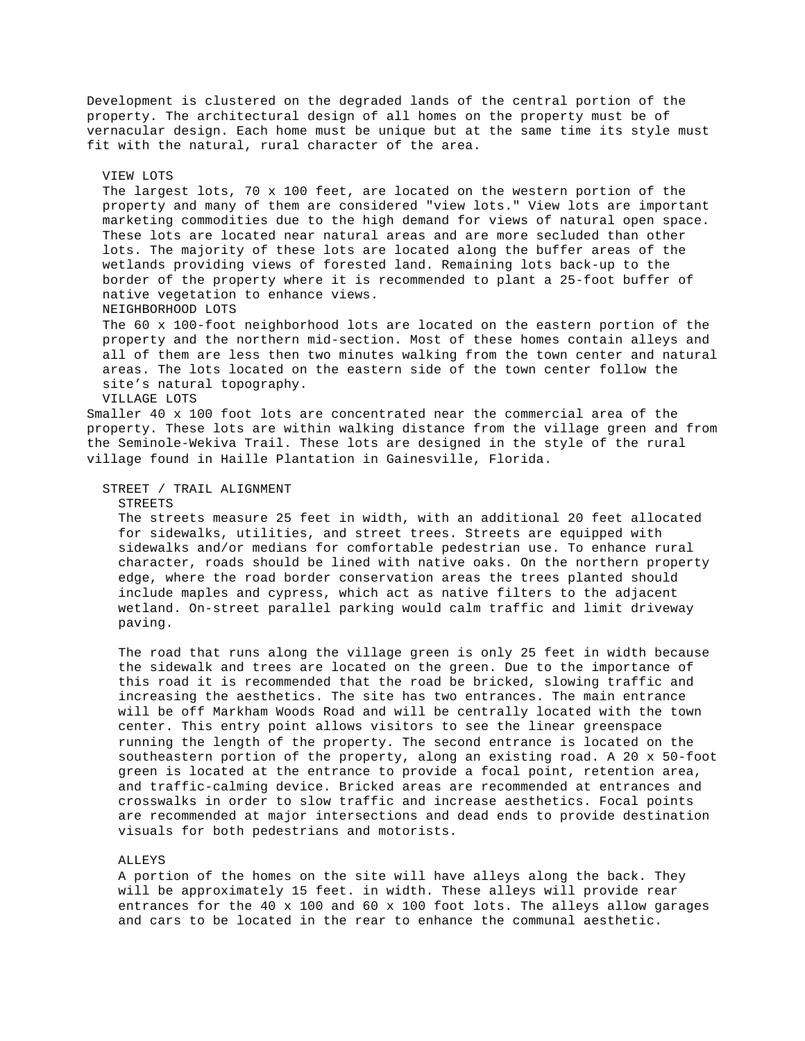Development is clustered on the degraded lands of the central portion of the property. The architectural design of all homes on the property must be of vernacular design. Each home must be unique but at the same time its style must fit with the natural, rural character of the area.

 The largest lots, 70 x 100 feet, are located on the western portion of the property and many of them are considered "view lots." View lots are important marketing commodities due to the high demand for views of natural open space. These lots are located near natural areas and are more secluded than other lots. The majority of these lots are located along the buffer areas of the wetlands providing views of forested land. Remaining lots back-up to the border of the property where it is recommended to plant a 25-foot buffer of native vegetation to enhance views. NEIGHBORHOOD LOTS The 60 x 100-foot neighborhood lots are located on the eastern portion of the

 property and the northern mid-section. Most of these homes contain alleys and all of them are less then two minutes walking from the town center and natural areas. The lots located on the eastern side of the town center follow the site's natural topography.

VILLAGE LOTS

VIEW LOTS

Smaller 40 x 100 foot lots are concentrated near the commercial area of the property. These lots are within walking distance from the village green and from the Seminole-Wekiva Trail. These lots are designed in the style of the rural village found in Haille Plantation in Gainesville, Florida.

STREET / TRAIL ALIGNMENT

### **STREETS**

 The streets measure 25 feet in width, with an additional 20 feet allocated for sidewalks, utilities, and street trees. Streets are equipped with sidewalks and/or medians for comfortable pedestrian use. To enhance rural character, roads should be lined with native oaks. On the northern property edge, where the road border conservation areas the trees planted should include maples and cypress, which act as native filters to the adjacent wetland. On-street parallel parking would calm traffic and limit driveway paving.

 The road that runs along the village green is only 25 feet in width because the sidewalk and trees are located on the green. Due to the importance of this road it is recommended that the road be bricked, slowing traffic and increasing the aesthetics. The site has two entrances. The main entrance will be off Markham Woods Road and will be centrally located with the town center. This entry point allows visitors to see the linear greenspace running the length of the property. The second entrance is located on the southeastern portion of the property, along an existing road. A 20 x 50-foot green is located at the entrance to provide a focal point, retention area, and traffic-calming device. Bricked areas are recommended at entrances and crosswalks in order to slow traffic and increase aesthetics. Focal points are recommended at major intersections and dead ends to provide destination visuals for both pedestrians and motorists.

### ALLEYS

 A portion of the homes on the site will have alleys along the back. They will be approximately 15 feet. in width. These alleys will provide rear entrances for the 40 x 100 and 60 x 100 foot lots. The alleys allow garages and cars to be located in the rear to enhance the communal aesthetic.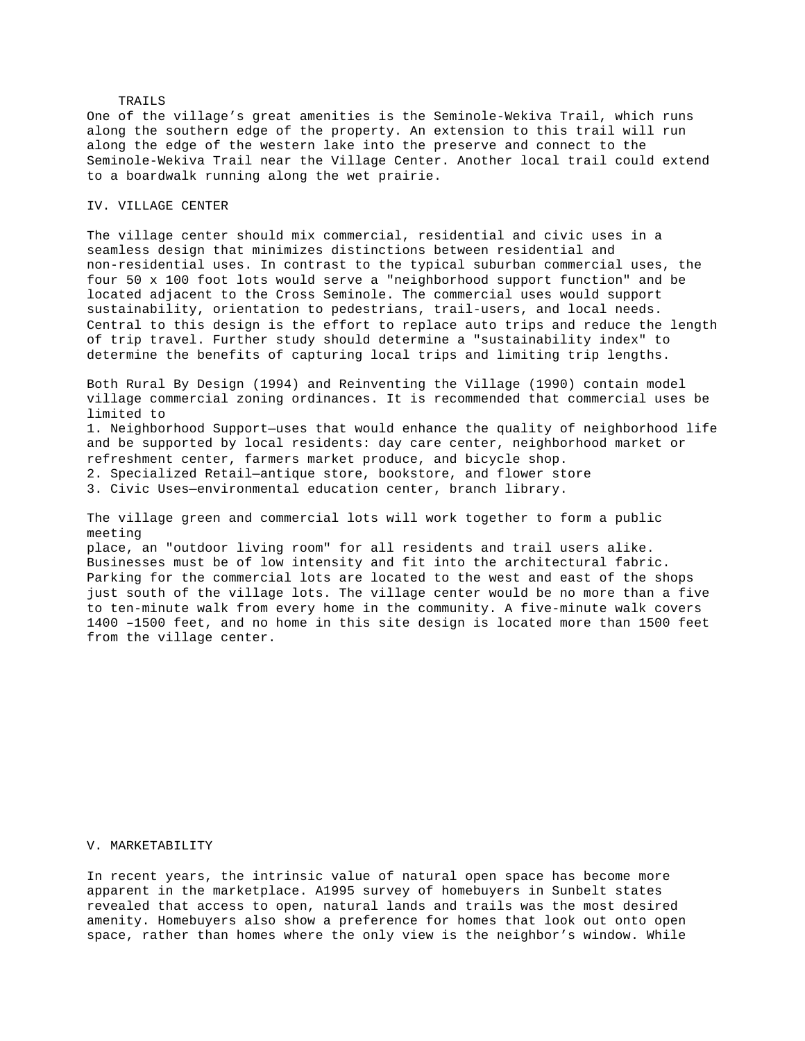## TRAILS

One of the village's great amenities is the Seminole-Wekiva Trail, which runs along the southern edge of the property. An extension to this trail will run along the edge of the western lake into the preserve and connect to the Seminole-Wekiva Trail near the Village Center. Another local trail could extend to a boardwalk running along the wet prairie.

## IV. VILLAGE CENTER

The village center should mix commercial, residential and civic uses in a seamless design that minimizes distinctions between residential and non-residential uses. In contrast to the typical suburban commercial uses, the four 50 x 100 foot lots would serve a "neighborhood support function" and be located adjacent to the Cross Seminole. The commercial uses would support sustainability, orientation to pedestrians, trail-users, and local needs. Central to this design is the effort to replace auto trips and reduce the length of trip travel. Further study should determine a "sustainability index" to determine the benefits of capturing local trips and limiting trip lengths.

Both Rural By Design (1994) and Reinventing the Village (1990) contain model village commercial zoning ordinances. It is recommended that commercial uses be limited to

1. Neighborhood Support—uses that would enhance the quality of neighborhood life and be supported by local residents: day care center, neighborhood market or refreshment center, farmers market produce, and bicycle shop.

2. Specialized Retail—antique store, bookstore, and flower store

3. Civic Uses—environmental education center, branch library.

The village green and commercial lots will work together to form a public meeting

place, an "outdoor living room" for all residents and trail users alike. Businesses must be of low intensity and fit into the architectural fabric. Parking for the commercial lots are located to the west and east of the shops just south of the village lots. The village center would be no more than a five to ten-minute walk from every home in the community. A five-minute walk covers 1400 –1500 feet, and no home in this site design is located more than 1500 feet from the village center.

## V. MARKETABILITY

In recent years, the intrinsic value of natural open space has become more apparent in the marketplace. A1995 survey of homebuyers in Sunbelt states revealed that access to open, natural lands and trails was the most desired amenity. Homebuyers also show a preference for homes that look out onto open space, rather than homes where the only view is the neighbor's window. While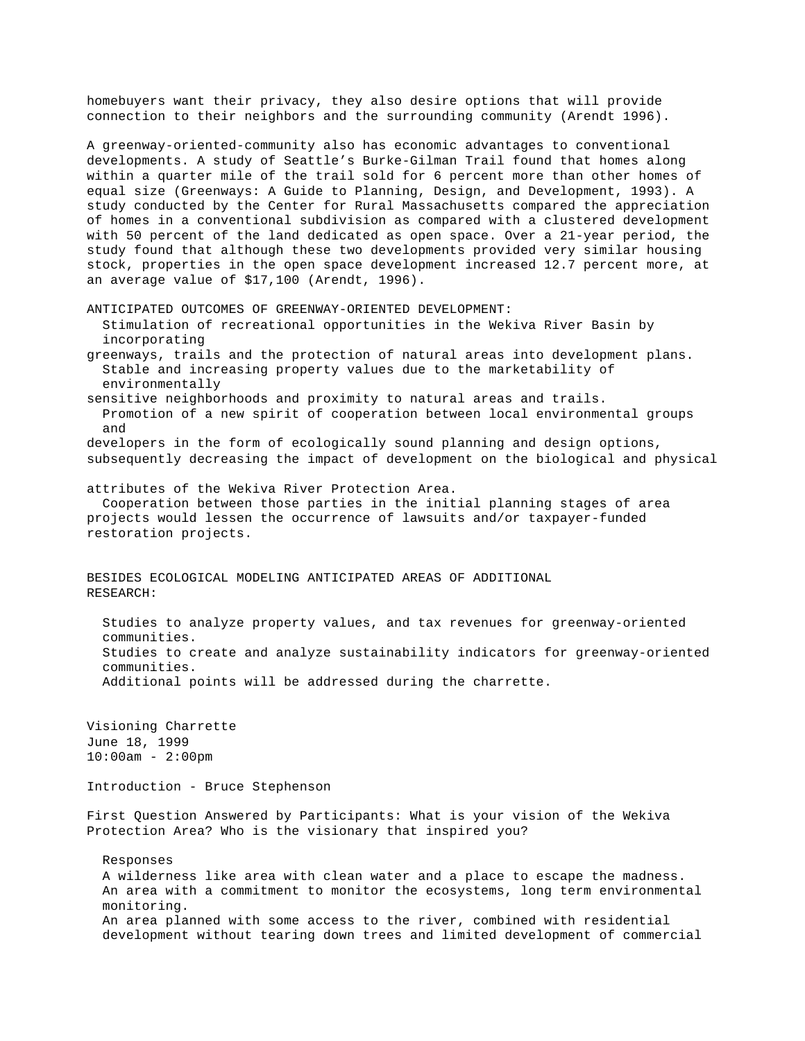homebuyers want their privacy, they also desire options that will provide connection to their neighbors and the surrounding community (Arendt 1996).

A greenway-oriented-community also has economic advantages to conventional developments. A study of Seattle's Burke-Gilman Trail found that homes along within a quarter mile of the trail sold for 6 percent more than other homes of equal size (Greenways: A Guide to Planning, Design, and Development, 1993). A study conducted by the Center for Rural Massachusetts compared the appreciation of homes in a conventional subdivision as compared with a clustered development with 50 percent of the land dedicated as open space. Over a 21-year period, the study found that although these two developments provided very similar housing stock, properties in the open space development increased 12.7 percent more, at an average value of \$17,100 (Arendt, 1996).

ANTICIPATED OUTCOMES OF GREENWAY-ORIENTED DEVELOPMENT: Stimulation of recreational opportunities in the Wekiva River Basin by incorporating

greenways, trails and the protection of natural areas into development plans. Stable and increasing property values due to the marketability of environmentally

sensitive neighborhoods and proximity to natural areas and trails. Promotion of a new spirit of cooperation between local environmental groups and

developers in the form of ecologically sound planning and design options, subsequently decreasing the impact of development on the biological and physical

attributes of the Wekiva River Protection Area.

 Cooperation between those parties in the initial planning stages of area projects would lessen the occurrence of lawsuits and/or taxpayer-funded restoration projects.

BESIDES ECOLOGICAL MODELING ANTICIPATED AREAS OF ADDITIONAL RESEARCH:

 Studies to analyze property values, and tax revenues for greenway-oriented communities. Studies to create and analyze sustainability indicators for greenway-oriented communities. Additional points will be addressed during the charrette.

Visioning Charrette June 18, 1999 10:00am - 2:00pm

Introduction - Bruce Stephenson

First Question Answered by Participants: What is your vision of the Wekiva Protection Area? Who is the visionary that inspired you?

 Responses A wilderness like area with clean water and a place to escape the madness.

 An area with a commitment to monitor the ecosystems, long term environmental monitoring. An area planned with some access to the river, combined with residential

development without tearing down trees and limited development of commercial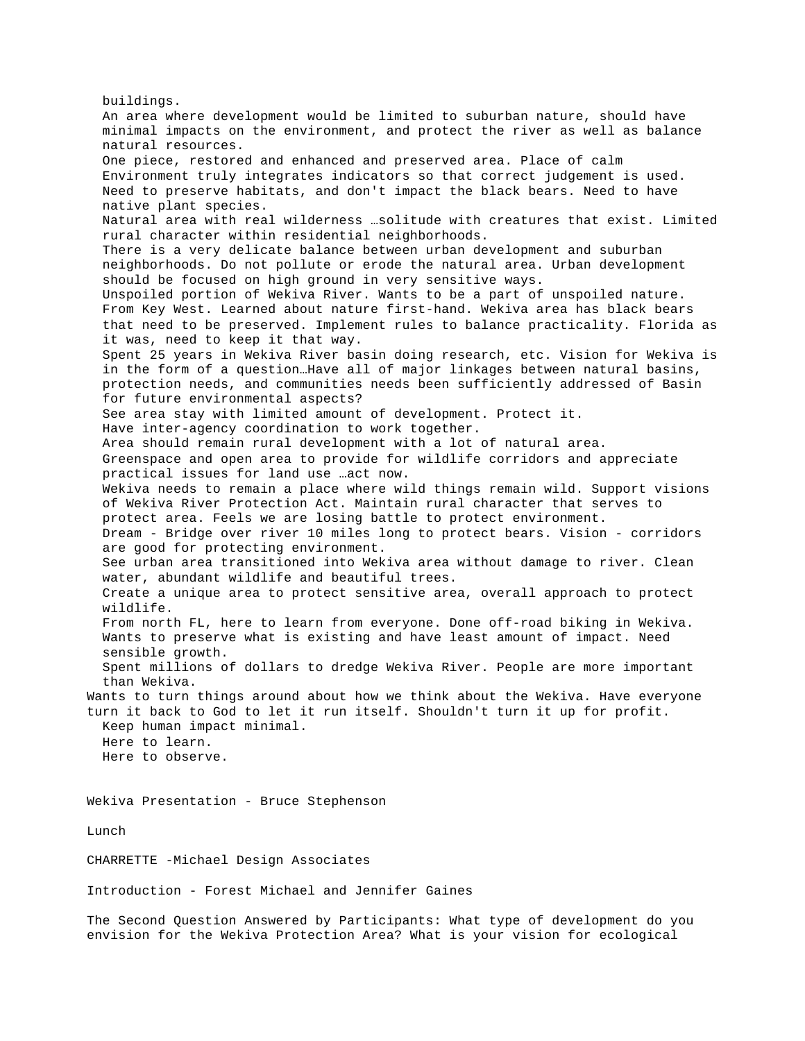buildings. An area where development would be limited to suburban nature, should have minimal impacts on the environment, and protect the river as well as balance natural resources. One piece, restored and enhanced and preserved area. Place of calm Environment truly integrates indicators so that correct judgement is used. Need to preserve habitats, and don't impact the black bears. Need to have native plant species. Natural area with real wilderness …solitude with creatures that exist. Limited rural character within residential neighborhoods. There is a very delicate balance between urban development and suburban neighborhoods. Do not pollute or erode the natural area. Urban development should be focused on high ground in very sensitive ways. Unspoiled portion of Wekiva River. Wants to be a part of unspoiled nature. From Key West. Learned about nature first-hand. Wekiva area has black bears that need to be preserved. Implement rules to balance practicality. Florida as it was, need to keep it that way. Spent 25 years in Wekiva River basin doing research, etc. Vision for Wekiva is in the form of a question…Have all of major linkages between natural basins, protection needs, and communities needs been sufficiently addressed of Basin for future environmental aspects? See area stay with limited amount of development. Protect it. Have inter-agency coordination to work together. Area should remain rural development with a lot of natural area. Greenspace and open area to provide for wildlife corridors and appreciate practical issues for land use …act now. Wekiva needs to remain a place where wild things remain wild. Support visions of Wekiva River Protection Act. Maintain rural character that serves to protect area. Feels we are losing battle to protect environment. Dream - Bridge over river 10 miles long to protect bears. Vision - corridors are good for protecting environment. See urban area transitioned into Wekiva area without damage to river. Clean water, abundant wildlife and beautiful trees. Create a unique area to protect sensitive area, overall approach to protect wildlife. From north FL, here to learn from everyone. Done off-road biking in Wekiva. Wants to preserve what is existing and have least amount of impact. Need sensible growth. Spent millions of dollars to dredge Wekiva River. People are more important than Wekiva. Wants to turn things around about how we think about the Wekiva. Have everyone turn it back to God to let it run itself. Shouldn't turn it up for profit. Keep human impact minimal. Here to learn. Here to observe. Wekiva Presentation - Bruce Stephenson Lunch CHARRETTE -Michael Design Associates Introduction - Forest Michael and Jennifer Gaines

The Second Question Answered by Participants: What type of development do you envision for the Wekiva Protection Area? What is your vision for ecological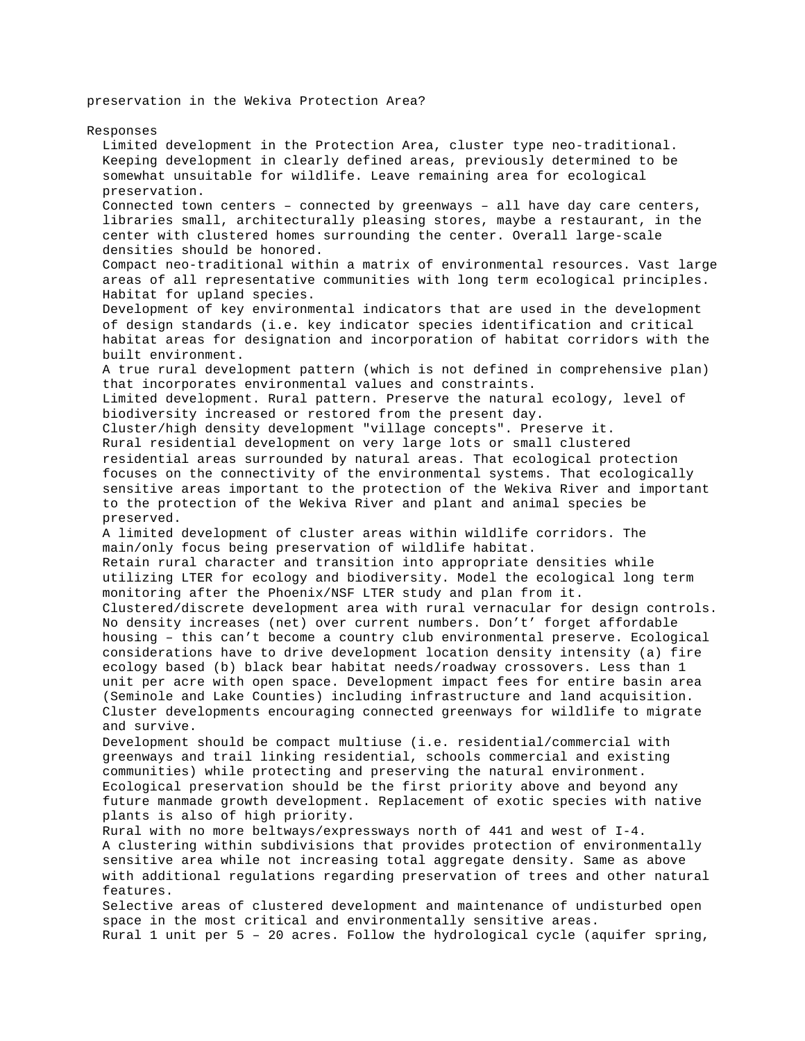preservation in the Wekiva Protection Area?

Responses Limited development in the Protection Area, cluster type neo-traditional. Keeping development in clearly defined areas, previously determined to be somewhat unsuitable for wildlife. Leave remaining area for ecological preservation. Connected town centers – connected by greenways – all have day care centers, libraries small, architecturally pleasing stores, maybe a restaurant, in the center with clustered homes surrounding the center. Overall large-scale densities should be honored. Compact neo-traditional within a matrix of environmental resources. Vast large areas of all representative communities with long term ecological principles. Habitat for upland species. Development of key environmental indicators that are used in the development of design standards (i.e. key indicator species identification and critical habitat areas for designation and incorporation of habitat corridors with the built environment. A true rural development pattern (which is not defined in comprehensive plan) that incorporates environmental values and constraints. Limited development. Rural pattern. Preserve the natural ecology, level of biodiversity increased or restored from the present day. Cluster/high density development "village concepts". Preserve it. Rural residential development on very large lots or small clustered residential areas surrounded by natural areas. That ecological protection focuses on the connectivity of the environmental systems. That ecologically sensitive areas important to the protection of the Wekiva River and important to the protection of the Wekiva River and plant and animal species be preserved. A limited development of cluster areas within wildlife corridors. The main/only focus being preservation of wildlife habitat. Retain rural character and transition into appropriate densities while utilizing LTER for ecology and biodiversity. Model the ecological long term monitoring after the Phoenix/NSF LTER study and plan from it. Clustered/discrete development area with rural vernacular for design controls. No density increases (net) over current numbers. Don't' forget affordable housing – this can't become a country club environmental preserve. Ecological considerations have to drive development location density intensity (a) fire ecology based (b) black bear habitat needs/roadway crossovers. Less than 1 unit per acre with open space. Development impact fees for entire basin area (Seminole and Lake Counties) including infrastructure and land acquisition. Cluster developments encouraging connected greenways for wildlife to migrate and survive. Development should be compact multiuse (i.e. residential/commercial with greenways and trail linking residential, schools commercial and existing communities) while protecting and preserving the natural environment. Ecological preservation should be the first priority above and beyond any future manmade growth development. Replacement of exotic species with native plants is also of high priority. Rural with no more beltways/expressways north of 441 and west of I-4. A clustering within subdivisions that provides protection of environmentally sensitive area while not increasing total aggregate density. Same as above with additional regulations regarding preservation of trees and other natural features. Selective areas of clustered development and maintenance of undisturbed open space in the most critical and environmentally sensitive areas. Rural 1 unit per 5 – 20 acres. Follow the hydrological cycle (aquifer spring,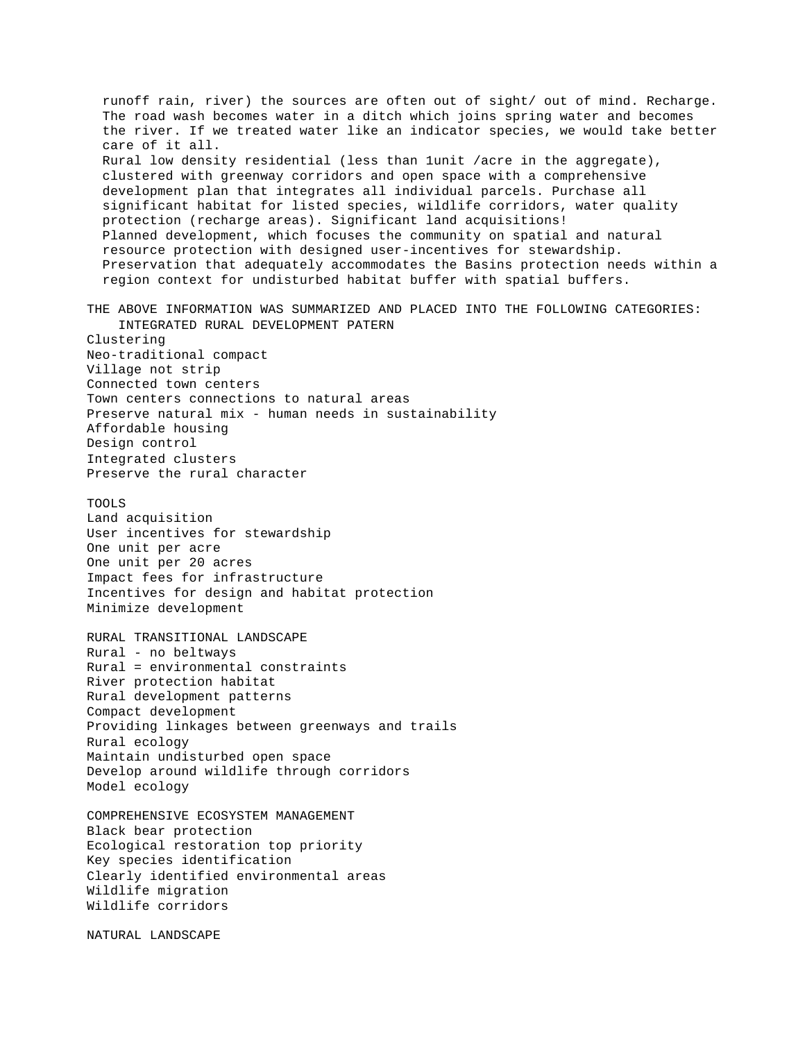runoff rain, river) the sources are often out of sight/ out of mind. Recharge. The road wash becomes water in a ditch which joins spring water and becomes the river. If we treated water like an indicator species, we would take better care of it all. Rural low density residential (less than 1unit /acre in the aggregate), clustered with greenway corridors and open space with a comprehensive development plan that integrates all individual parcels. Purchase all significant habitat for listed species, wildlife corridors, water quality protection (recharge areas). Significant land acquisitions! Planned development, which focuses the community on spatial and natural resource protection with designed user-incentives for stewardship. Preservation that adequately accommodates the Basins protection needs within a region context for undisturbed habitat buffer with spatial buffers. THE ABOVE INFORMATION WAS SUMMARIZED AND PLACED INTO THE FOLLOWING CATEGORIES: INTEGRATED RURAL DEVELOPMENT PATERN Clustering Neo-traditional compact Village not strip Connected town centers Town centers connections to natural areas Preserve natural mix - human needs in sustainability Affordable housing Design control Integrated clusters Preserve the rural character TOOLS Land acquisition User incentives for stewardship One unit per acre One unit per 20 acres Impact fees for infrastructure Incentives for design and habitat protection Minimize development RURAL TRANSITIONAL LANDSCAPE Rural - no beltways Rural = environmental constraints River protection habitat Rural development patterns Compact development Providing linkages between greenways and trails Rural ecology Maintain undisturbed open space Develop around wildlife through corridors Model ecology COMPREHENSIVE ECOSYSTEM MANAGEMENT Black bear protection Ecological restoration top priority Key species identification

Clearly identified environmental areas Wildlife migration Wildlife corridors

NATURAL LANDSCAPE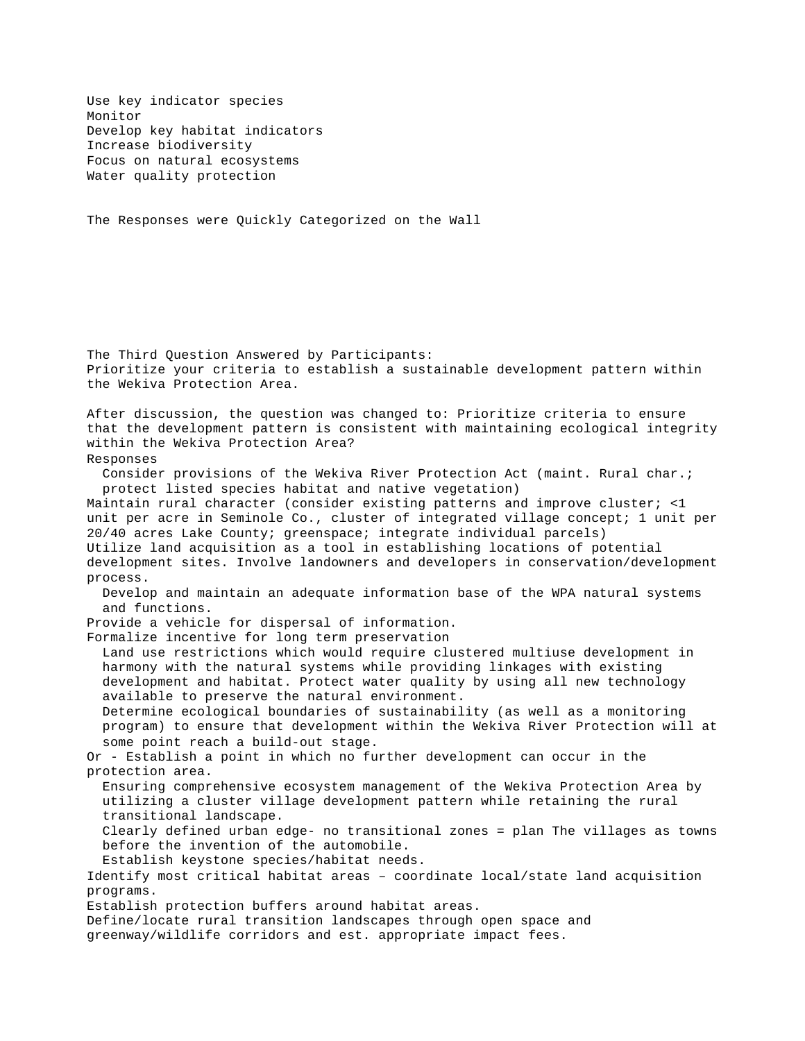Use key indicator species Monitor Develop key habitat indicators Increase biodiversity Focus on natural ecosystems Water quality protection

The Responses were Quickly Categorized on the Wall

The Third Question Answered by Participants: Prioritize your criteria to establish a sustainable development pattern within the Wekiva Protection Area. After discussion, the question was changed to: Prioritize criteria to ensure that the development pattern is consistent with maintaining ecological integrity within the Wekiva Protection Area? Responses Consider provisions of the Wekiva River Protection Act (maint. Rural char.; protect listed species habitat and native vegetation) Maintain rural character (consider existing patterns and improve cluster; <1 unit per acre in Seminole Co., cluster of integrated village concept; 1 unit per 20/40 acres Lake County; greenspace; integrate individual parcels) Utilize land acquisition as a tool in establishing locations of potential development sites. Involve landowners and developers in conservation/development process. Develop and maintain an adequate information base of the WPA natural systems and functions. Provide a vehicle for dispersal of information. Formalize incentive for long term preservation Land use restrictions which would require clustered multiuse development in harmony with the natural systems while providing linkages with existing development and habitat. Protect water quality by using all new technology available to preserve the natural environment. Determine ecological boundaries of sustainability (as well as a monitoring program) to ensure that development within the Wekiva River Protection will at some point reach a build-out stage. Or - Establish a point in which no further development can occur in the protection area. Ensuring comprehensive ecosystem management of the Wekiva Protection Area by utilizing a cluster village development pattern while retaining the rural transitional landscape. Clearly defined urban edge- no transitional zones = plan The villages as towns before the invention of the automobile. Establish keystone species/habitat needs. Identify most critical habitat areas – coordinate local/state land acquisition programs. Establish protection buffers around habitat areas. Define/locate rural transition landscapes through open space and greenway/wildlife corridors and est. appropriate impact fees.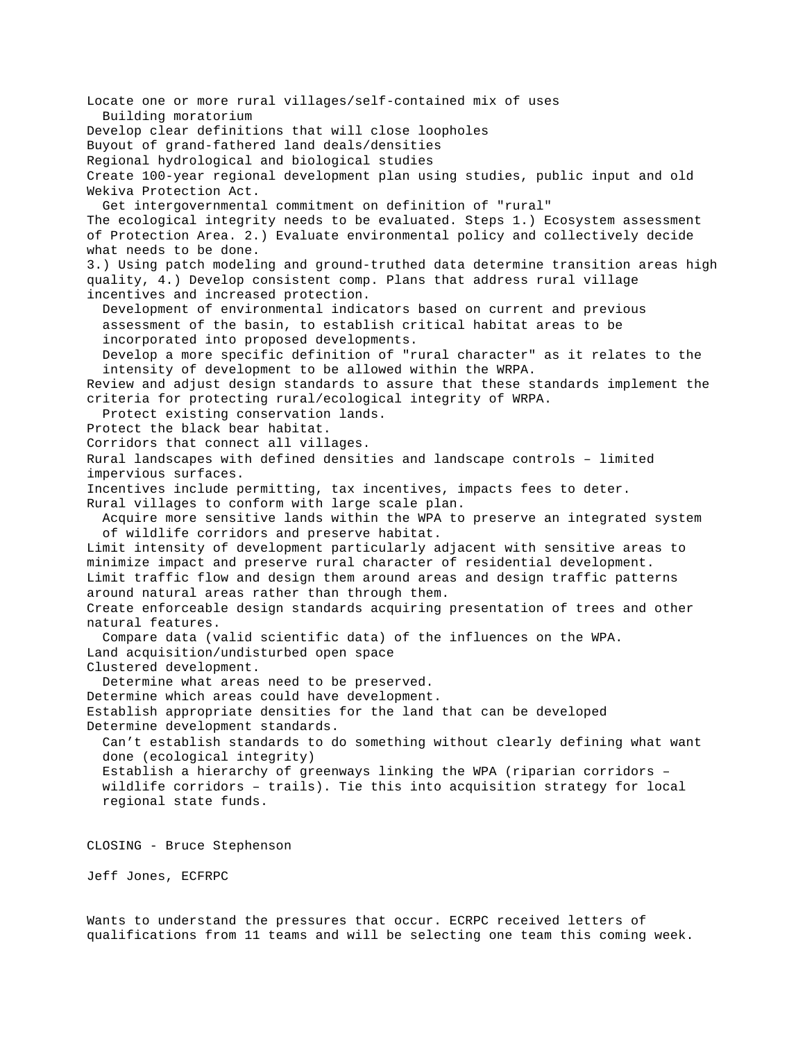Locate one or more rural villages/self-contained mix of uses Building moratorium Develop clear definitions that will close loopholes Buyout of grand-fathered land deals/densities Regional hydrological and biological studies Create 100-year regional development plan using studies, public input and old Wekiva Protection Act. Get intergovernmental commitment on definition of "rural" The ecological integrity needs to be evaluated. Steps 1.) Ecosystem assessment of Protection Area. 2.) Evaluate environmental policy and collectively decide what needs to be done. 3.) Using patch modeling and ground-truthed data determine transition areas high quality, 4.) Develop consistent comp. Plans that address rural village incentives and increased protection. Development of environmental indicators based on current and previous assessment of the basin, to establish critical habitat areas to be incorporated into proposed developments. Develop a more specific definition of "rural character" as it relates to the intensity of development to be allowed within the WRPA. Review and adjust design standards to assure that these standards implement the criteria for protecting rural/ecological integrity of WRPA. Protect existing conservation lands. Protect the black bear habitat. Corridors that connect all villages. Rural landscapes with defined densities and landscape controls – limited impervious surfaces. Incentives include permitting, tax incentives, impacts fees to deter. Rural villages to conform with large scale plan. Acquire more sensitive lands within the WPA to preserve an integrated system of wildlife corridors and preserve habitat. Limit intensity of development particularly adjacent with sensitive areas to minimize impact and preserve rural character of residential development. Limit traffic flow and design them around areas and design traffic patterns around natural areas rather than through them. Create enforceable design standards acquiring presentation of trees and other natural features. Compare data (valid scientific data) of the influences on the WPA. Land acquisition/undisturbed open space Clustered development. Determine what areas need to be preserved. Determine which areas could have development. Establish appropriate densities for the land that can be developed Determine development standards. Can't establish standards to do something without clearly defining what want done (ecological integrity) Establish a hierarchy of greenways linking the WPA (riparian corridors – wildlife corridors – trails). Tie this into acquisition strategy for local regional state funds. CLOSING - Bruce Stephenson Jeff Jones, ECFRPC

Wants to understand the pressures that occur. ECRPC received letters of qualifications from 11 teams and will be selecting one team this coming week.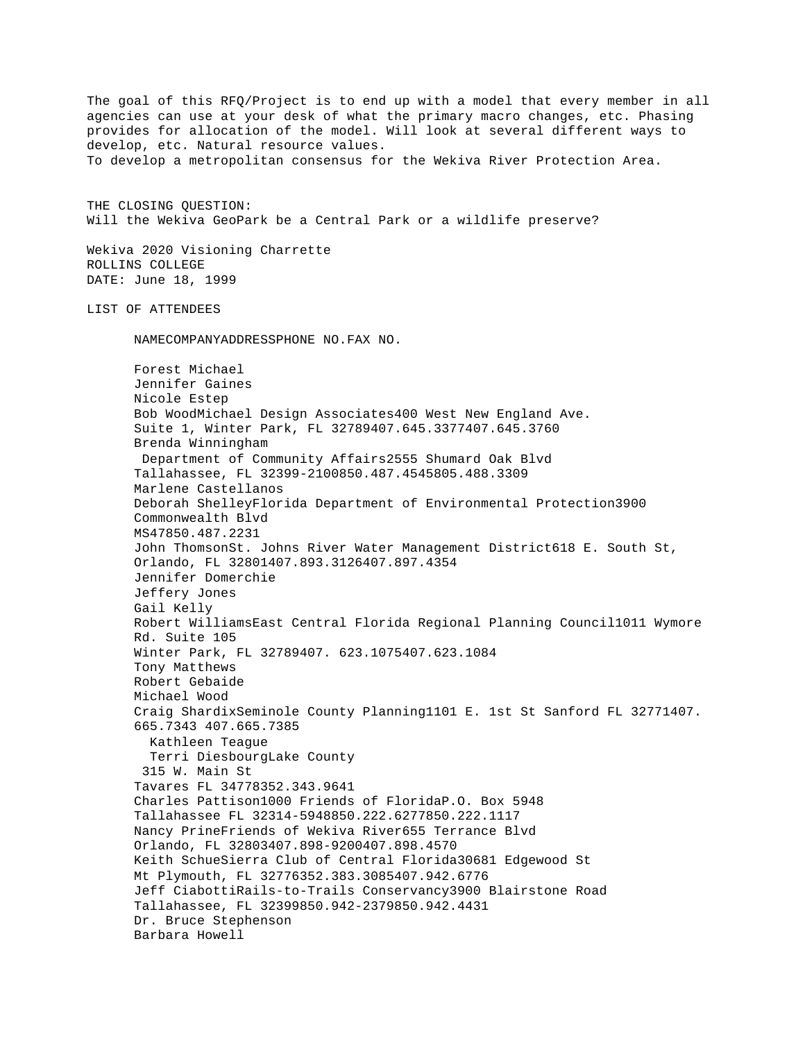The goal of this RFQ/Project is to end up with a model that every member in all agencies can use at your desk of what the primary macro changes, etc. Phasing provides for allocation of the model. Will look at several different ways to develop, etc. Natural resource values. To develop a metropolitan consensus for the Wekiva River Protection Area. THE CLOSING QUESTION: Will the Wekiva GeoPark be a Central Park or a wildlife preserve? Wekiva 2020 Visioning Charrette ROLLINS COLLEGE DATE: June 18, 1999 LIST OF ATTENDEES NAMECOMPANYADDRESSPHONE NO.FAX NO. Forest Michael Jennifer Gaines Nicole Estep Bob WoodMichael Design Associates400 West New England Ave. Suite 1, Winter Park, FL 32789407.645.3377407.645.3760 Brenda Winningham Department of Community Affairs2555 Shumard Oak Blvd Tallahassee, FL 32399-2100850.487.4545805.488.3309 Marlene Castellanos Deborah ShelleyFlorida Department of Environmental Protection3900 Commonwealth Blvd MS47850.487.2231 John ThomsonSt. Johns River Water Management District618 E. South St, Orlando, FL 32801407.893.3126407.897.4354 Jennifer Domerchie Jeffery Jones Gail Kelly Robert WilliamsEast Central Florida Regional Planning Council1011 Wymore Rd. Suite 105 Winter Park, FL 32789407. 623.1075407.623.1084 Tony Matthews Robert Gebaide Michael Wood Craig ShardixSeminole County Planning1101 E. 1st St Sanford FL 32771407. 665.7343 407.665.7385 Kathleen Teague Terri DiesbourgLake County 315 W. Main St Tavares FL 34778352.343.9641 Charles Pattison1000 Friends of FloridaP.O. Box 5948 Tallahassee FL 32314-5948850.222.6277850.222.1117 Nancy PrineFriends of Wekiva River655 Terrance Blvd Orlando, FL 32803407.898-9200407.898.4570 Keith SchueSierra Club of Central Florida30681 Edgewood St Mt Plymouth, FL 32776352.383.3085407.942.6776 Jeff CiabottiRails-to-Trails Conservancy3900 Blairstone Road Tallahassee, FL 32399850.942-2379850.942.4431 Dr. Bruce Stephenson Barbara Howell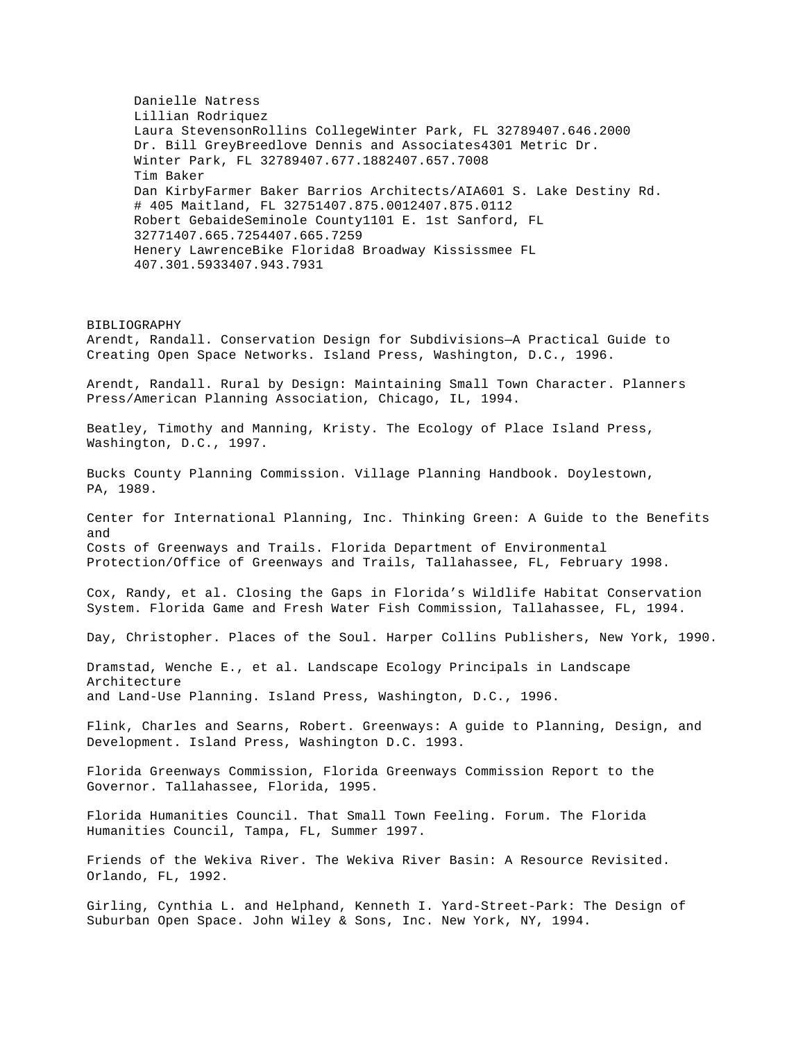Danielle Natress Lillian Rodriquez Laura StevensonRollins CollegeWinter Park, FL 32789407.646.2000 Dr. Bill GreyBreedlove Dennis and Associates4301 Metric Dr. Winter Park, FL 32789407.677.1882407.657.7008 Tim Baker Dan KirbyFarmer Baker Barrios Architects/AIA601 S. Lake Destiny Rd. # 405 Maitland, FL 32751407.875.0012407.875.0112 Robert GebaideSeminole County1101 E. 1st Sanford, FL 32771407.665.7254407.665.7259 Henery LawrenceBike Florida8 Broadway Kississmee FL 407.301.5933407.943.7931 BIBLIOGRAPHY Arendt, Randall. Conservation Design for Subdivisions—A Practical Guide to Creating Open Space Networks. Island Press, Washington, D.C., 1996. Arendt, Randall. Rural by Design: Maintaining Small Town Character. Planners Press/American Planning Association, Chicago, IL, 1994. Beatley, Timothy and Manning, Kristy. The Ecology of Place Island Press, Washington, D.C., 1997.

Bucks County Planning Commission. Village Planning Handbook. Doylestown, PA, 1989.

Center for International Planning, Inc. Thinking Green: A Guide to the Benefits and Costs of Greenways and Trails. Florida Department of Environmental Protection/Office of Greenways and Trails, Tallahassee, FL, February 1998.

Cox, Randy, et al. Closing the Gaps in Florida's Wildlife Habitat Conservation System. Florida Game and Fresh Water Fish Commission, Tallahassee, FL, 1994.

Day, Christopher. Places of the Soul. Harper Collins Publishers, New York, 1990.

Dramstad, Wenche E., et al. Landscape Ecology Principals in Landscape Architecture and Land-Use Planning. Island Press, Washington, D.C., 1996.

Flink, Charles and Searns, Robert. Greenways: A guide to Planning, Design, and Development. Island Press, Washington D.C. 1993.

Florida Greenways Commission, Florida Greenways Commission Report to the Governor. Tallahassee, Florida, 1995.

Florida Humanities Council. That Small Town Feeling. Forum. The Florida Humanities Council, Tampa, FL, Summer 1997.

Friends of the Wekiva River. The Wekiva River Basin: A Resource Revisited. Orlando, FL, 1992.

Girling, Cynthia L. and Helphand, Kenneth I. Yard-Street-Park: The Design of Suburban Open Space. John Wiley & Sons, Inc. New York, NY, 1994.